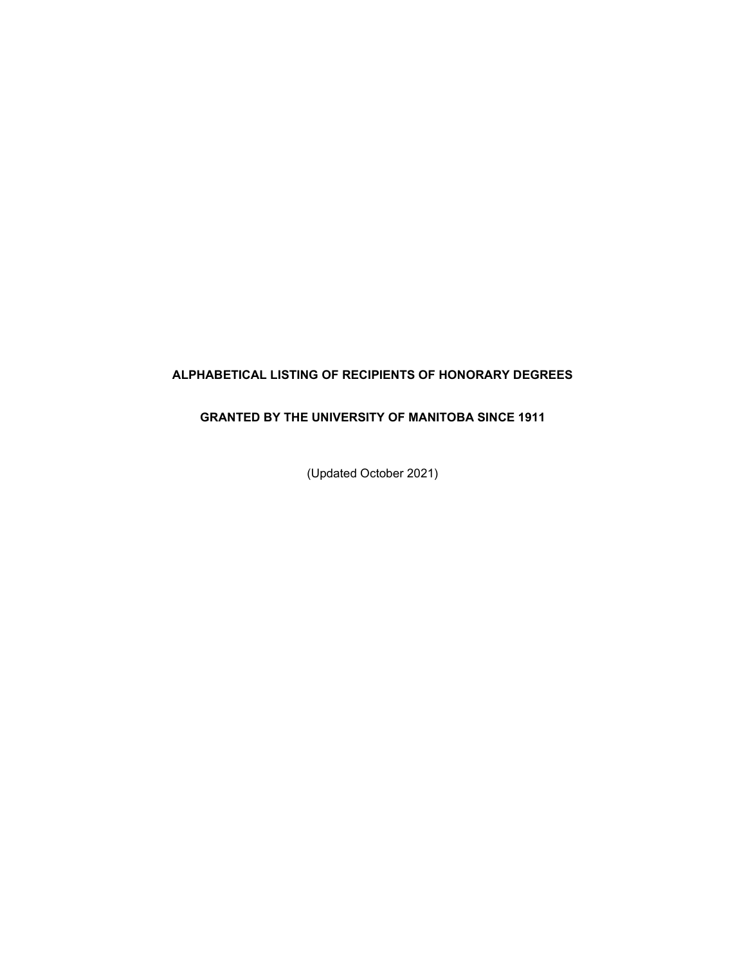#### **ALPHABETICAL LISTING OF RECIPIENTS OF HONORARY DEGREES**

#### **GRANTED BY THE UNIVERSITY OF MANITOBA SINCE 1911**

(Updated October 2021)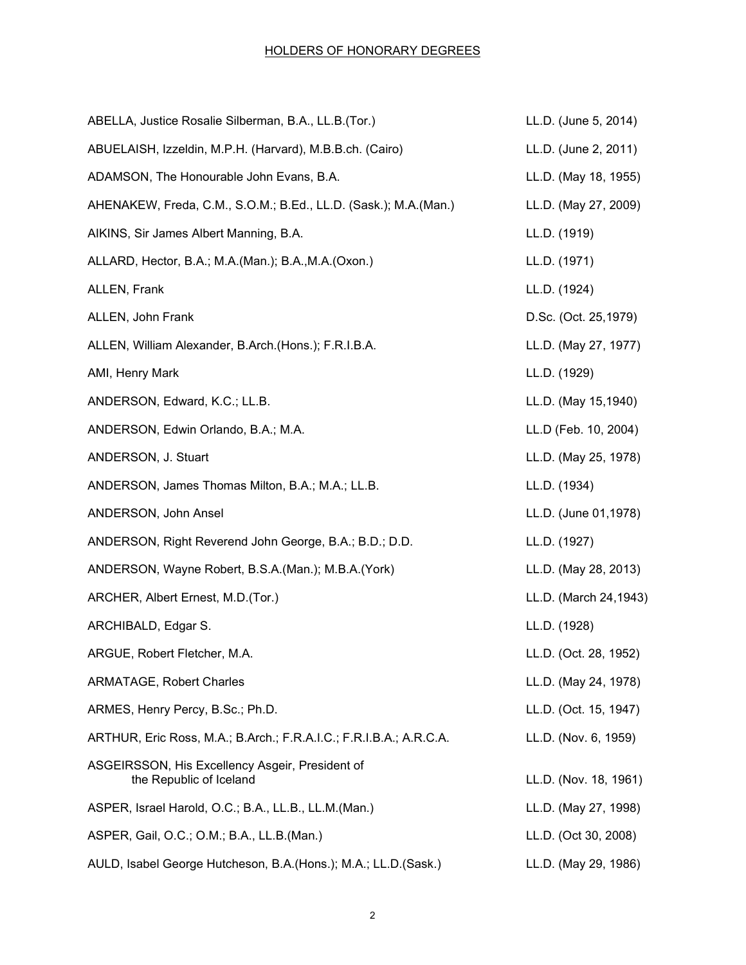| ABELLA, Justice Rosalie Silberman, B.A., LL.B.(Tor.)                       | LL.D. (June 5, 2014)  |
|----------------------------------------------------------------------------|-----------------------|
| ABUELAISH, Izzeldin, M.P.H. (Harvard), M.B.B.ch. (Cairo)                   | LL.D. (June 2, 2011)  |
| ADAMSON, The Honourable John Evans, B.A.                                   | LL.D. (May 18, 1955)  |
| AHENAKEW, Freda, C.M., S.O.M.; B.Ed., LL.D. (Sask.); M.A.(Man.)            | LL.D. (May 27, 2009)  |
| AIKINS, Sir James Albert Manning, B.A.                                     | LL.D. (1919)          |
| ALLARD, Hector, B.A.; M.A.(Man.); B.A., M.A. (Oxon.)                       | LL.D. (1971)          |
| ALLEN, Frank                                                               | LL.D. (1924)          |
| ALLEN, John Frank                                                          | D.Sc. (Oct. 25,1979)  |
| ALLEN, William Alexander, B.Arch.(Hons.); F.R.I.B.A.                       | LL.D. (May 27, 1977)  |
| AMI, Henry Mark                                                            | LL.D. (1929)          |
| ANDERSON, Edward, K.C.; LL.B.                                              | LL.D. (May 15,1940)   |
| ANDERSON, Edwin Orlando, B.A.; M.A.                                        | LL.D (Feb. 10, 2004)  |
| ANDERSON, J. Stuart                                                        | LL.D. (May 25, 1978)  |
| ANDERSON, James Thomas Milton, B.A.; M.A.; LL.B.                           | LL.D. (1934)          |
| ANDERSON, John Ansel                                                       | LL.D. (June 01,1978)  |
| ANDERSON, Right Reverend John George, B.A.; B.D.; D.D.                     | LL.D. (1927)          |
| ANDERSON, Wayne Robert, B.S.A.(Man.); M.B.A.(York)                         | LL.D. (May 28, 2013)  |
| ARCHER, Albert Ernest, M.D. (Tor.)                                         | LL.D. (March 24,1943) |
| ARCHIBALD, Edgar S.                                                        | LL.D. (1928)          |
| ARGUE, Robert Fletcher, M.A.                                               | LL.D. (Oct. 28, 1952) |
| <b>ARMATAGE, Robert Charles</b>                                            | LL.D. (May 24, 1978)  |
| ARMES, Henry Percy, B.Sc.; Ph.D.                                           | LL.D. (Oct. 15, 1947) |
| ARTHUR, Eric Ross, M.A.; B.Arch.; F.R.A.I.C.; F.R.I.B.A.; A.R.C.A.         | LL.D. (Nov. 6, 1959)  |
| ASGEIRSSON, His Excellency Asgeir, President of<br>the Republic of Iceland | LL.D. (Nov. 18, 1961) |
| ASPER, Israel Harold, O.C.; B.A., LL.B., LL.M.(Man.)                       | LL.D. (May 27, 1998)  |
| ASPER, Gail, O.C.; O.M.; B.A., LL.B.(Man.)                                 | LL.D. (Oct 30, 2008)  |
| AULD, Isabel George Hutcheson, B.A. (Hons.); M.A.; LL.D. (Sask.)           | LL.D. (May 29, 1986)  |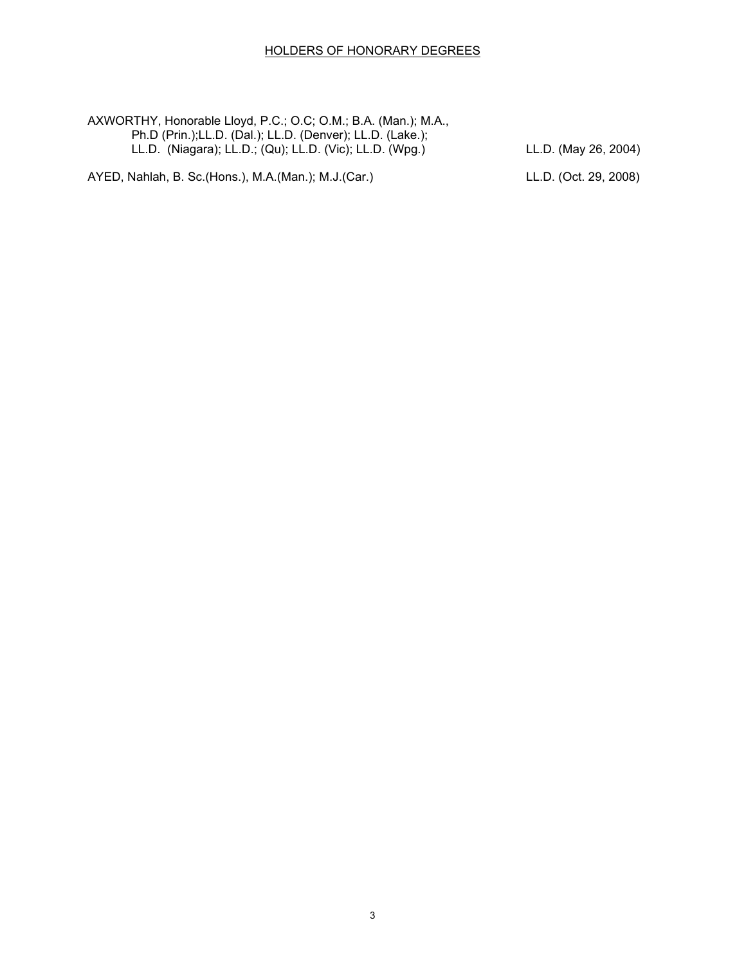AXWORTHY, Honorable Lloyd, P.C.; O.C; O.M.; B.A. (Man.); M.A., Ph.D (Prin.);LL.D. (Dal.); LL.D. (Denver); LL.D. (Lake.); LL.D. (Niagara); LL.D.; (Qu); LL.D. (Vic); LL.D. (Wpg.) LL.D. (May 26, 2004)

AYED, Nahlah, B. Sc.(Hons.), M.A.(Man.); M.J.(Car.) LL.D. (Oct. 29, 2008)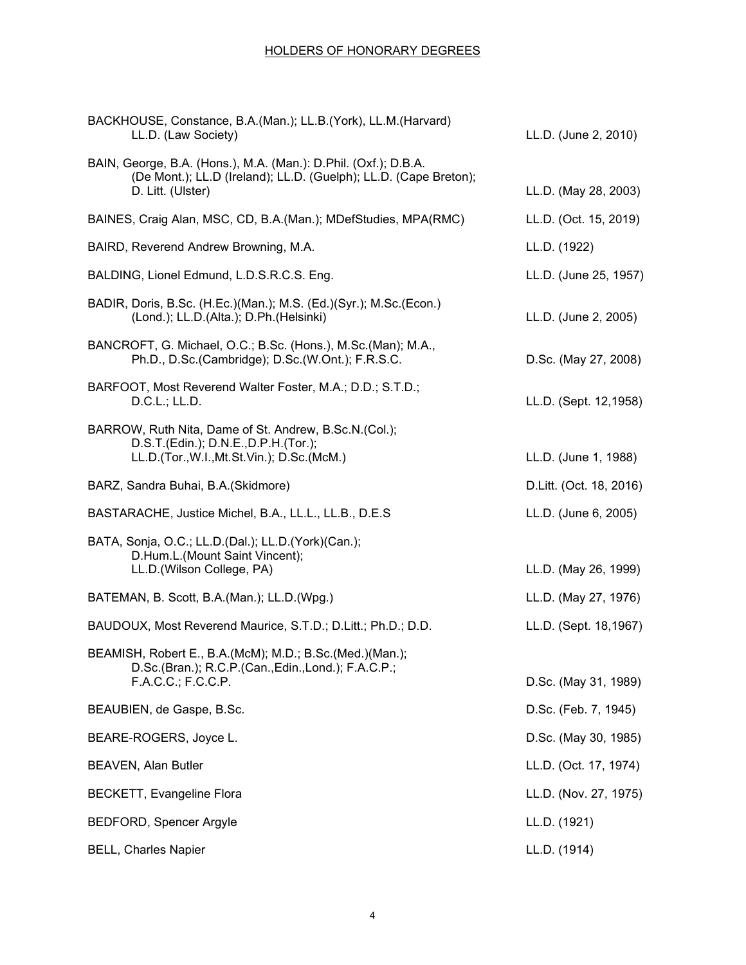| BACKHOUSE, Constance, B.A.(Man.); LL.B.(York), LL.M.(Harvard)<br>LL.D. (Law Society)                                                        | LL.D. (June 2, 2010)    |
|---------------------------------------------------------------------------------------------------------------------------------------------|-------------------------|
| BAIN, George, B.A. (Hons.), M.A. (Man.): D.Phil. (Oxf.); D.B.A.<br>(De Mont.); LL.D (Ireland); LL.D. (Guelph); LL.D. (Cape Breton);         |                         |
| D. Litt. (Ulster)                                                                                                                           | LL.D. (May 28, 2003)    |
| BAINES, Craig Alan, MSC, CD, B.A. (Man.); MDefStudies, MPA (RMC)                                                                            | LL.D. (Oct. 15, 2019)   |
| BAIRD, Reverend Andrew Browning, M.A.                                                                                                       | LL.D. (1922)            |
| BALDING, Lionel Edmund, L.D.S.R.C.S. Eng.                                                                                                   | LL.D. (June 25, 1957)   |
| BADIR, Doris, B.Sc. (H.Ec.)(Man.); M.S. (Ed.)(Syr.); M.Sc.(Econ.)<br>(Lond.); LL.D.(Alta.); D.Ph.(Helsinki)                                 | LL.D. (June 2, 2005)    |
| BANCROFT, G. Michael, O.C.; B.Sc. (Hons.), M.Sc. (Man); M.A.,<br>Ph.D., D.Sc.(Cambridge); D.Sc.(W.Ont.); F.R.S.C.                           | D.Sc. (May 27, 2008)    |
| BARFOOT, Most Reverend Walter Foster, M.A.; D.D.; S.T.D.;<br>D.C.L.; LL.D.                                                                  | LL.D. (Sept. 12,1958)   |
| BARROW, Ruth Nita, Dame of St. Andrew, B.Sc.N.(Col.);<br>D.S.T.(Edin.); D.N.E., D.P.H.(Tor.);<br>LL.D.(Tor., W.I., Mt.St.Vin.); D.Sc.(McM.) | LL.D. (June 1, 1988)    |
| BARZ, Sandra Buhai, B.A.(Skidmore)                                                                                                          | D.Litt. (Oct. 18, 2016) |
| BASTARACHE, Justice Michel, B.A., LL.L., LL.B., D.E.S                                                                                       | LL.D. (June 6, 2005)    |
| BATA, Sonja, O.C.; LL.D.(Dal.); LL.D.(York)(Can.);<br>D.Hum.L.(Mount Saint Vincent);<br>LL.D.(Wilson College, PA)                           |                         |
|                                                                                                                                             | LL.D. (May 26, 1999)    |
| BATEMAN, B. Scott, B.A.(Man.); LL.D.(Wpg.)                                                                                                  | LL.D. (May 27, 1976)    |
| BAUDOUX, Most Reverend Maurice, S.T.D.; D.Litt.; Ph.D.; D.D.                                                                                | LL.D. (Sept. 18,1967)   |
| BEAMISH, Robert E., B.A.(McM); M.D.; B.Sc.(Med.)(Man.);<br>D.Sc.(Bran.); R.C.P.(Can., Edin., Lond.); F.A.C.P.;<br>F.A.C.C.; F.C.C.P.        | D.Sc. (May 31, 1989)    |
| BEAUBIEN, de Gaspe, B.Sc.                                                                                                                   | D.Sc. (Feb. 7, 1945)    |
| BEARE-ROGERS, Joyce L.                                                                                                                      | D.Sc. (May 30, 1985)    |
| <b>BEAVEN, Alan Butler</b>                                                                                                                  | LL.D. (Oct. 17, 1974)   |
| <b>BECKETT, Evangeline Flora</b>                                                                                                            | LL.D. (Nov. 27, 1975)   |
| <b>BEDFORD, Spencer Argyle</b>                                                                                                              | LL.D. (1921)            |
| <b>BELL, Charles Napier</b>                                                                                                                 | LL.D. (1914)            |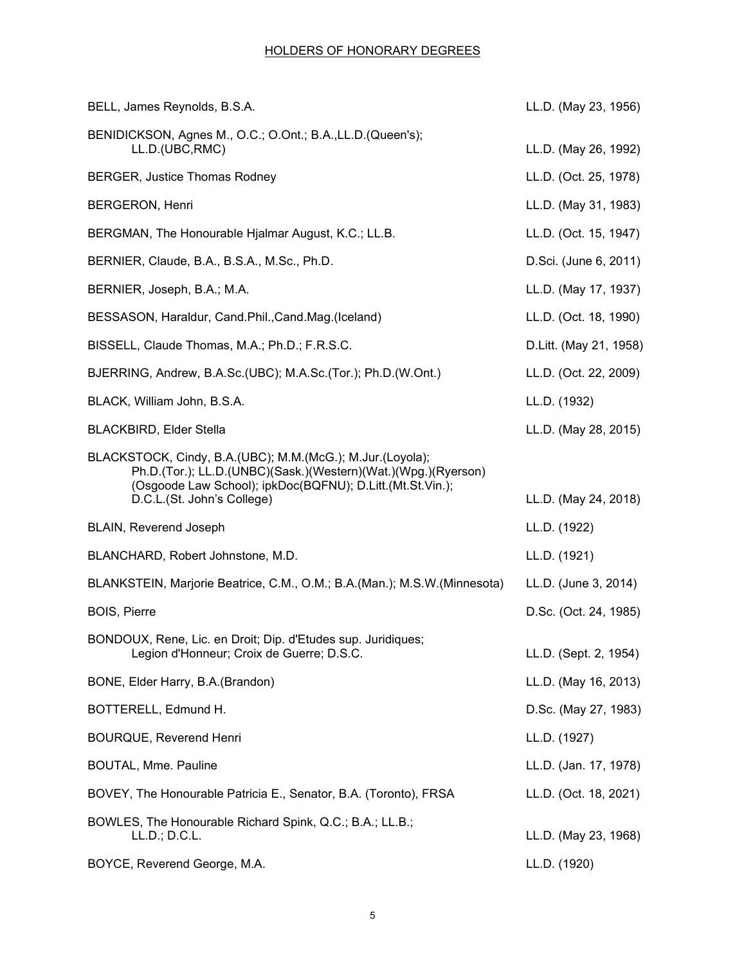| BELL, James Reynolds, B.S.A.                                                                                                                                                            | LL.D. (May 23, 1956)   |
|-----------------------------------------------------------------------------------------------------------------------------------------------------------------------------------------|------------------------|
| BENIDICKSON, Agnes M., O.C.; O.Ont.; B.A., LL.D. (Queen's);<br>LL.D.(UBC,RMC)                                                                                                           | LL.D. (May 26, 1992)   |
| <b>BERGER, Justice Thomas Rodney</b>                                                                                                                                                    | LL.D. (Oct. 25, 1978)  |
| <b>BERGERON, Henri</b>                                                                                                                                                                  | LL.D. (May 31, 1983)   |
| BERGMAN, The Honourable Hjalmar August, K.C.; LL.B.                                                                                                                                     | LL.D. (Oct. 15, 1947)  |
| BERNIER, Claude, B.A., B.S.A., M.Sc., Ph.D.                                                                                                                                             | D.Sci. (June 6, 2011)  |
| BERNIER, Joseph, B.A.; M.A.                                                                                                                                                             | LL.D. (May 17, 1937)   |
| BESSASON, Haraldur, Cand.Phil.,Cand.Mag.(Iceland)                                                                                                                                       | LL.D. (Oct. 18, 1990)  |
| BISSELL, Claude Thomas, M.A.; Ph.D.; F.R.S.C.                                                                                                                                           | D.Litt. (May 21, 1958) |
| BJERRING, Andrew, B.A.Sc.(UBC); M.A.Sc.(Tor.); Ph.D.(W.Ont.)                                                                                                                            | LL.D. (Oct. 22, 2009)  |
| BLACK, William John, B.S.A.                                                                                                                                                             | LL.D. (1932)           |
| <b>BLACKBIRD, Elder Stella</b>                                                                                                                                                          | LL.D. (May 28, 2015)   |
| BLACKSTOCK, Cindy, B.A.(UBC); M.M.(McG.); M.Jur.(Loyola);<br>Ph.D.(Tor.); LL.D.(UNBC)(Sask.)(Western)(Wat.)(Wpg.)(Ryerson)<br>(Osgoode Law School); ipkDoc(BQFNU); D.Litt.(Mt.St.Vin.); |                        |
| D.C.L.(St. John's College)                                                                                                                                                              | LL.D. (May 24, 2018)   |
| <b>BLAIN, Reverend Joseph</b>                                                                                                                                                           | LL.D. (1922)           |
| BLANCHARD, Robert Johnstone, M.D.                                                                                                                                                       | LL.D. (1921)           |
| BLANKSTEIN, Marjorie Beatrice, C.M., O.M.; B.A.(Man.); M.S.W.(Minnesota)                                                                                                                | LL.D. (June 3, 2014)   |
| <b>BOIS, Pierre</b>                                                                                                                                                                     | D.Sc. (Oct. 24, 1985)  |
| BONDOUX, Rene, Lic. en Droit; Dip. d'Etudes sup. Juridiques;<br>Legion d'Honneur; Croix de Guerre; D.S.C.                                                                               | LL.D. (Sept. 2, 1954)  |
| BONE, Elder Harry, B.A.(Brandon)                                                                                                                                                        | LL.D. (May 16, 2013)   |
| BOTTERELL, Edmund H.                                                                                                                                                                    | D.Sc. (May 27, 1983)   |
| <b>BOURQUE, Reverend Henri</b>                                                                                                                                                          | LL.D. (1927)           |
| <b>BOUTAL, Mme. Pauline</b>                                                                                                                                                             | LL.D. (Jan. 17, 1978)  |
| BOVEY, The Honourable Patricia E., Senator, B.A. (Toronto), FRSA                                                                                                                        | LL.D. (Oct. 18, 2021)  |
| BOWLES, The Honourable Richard Spink, Q.C.; B.A.; LL.B.;<br>LL.D.; D.C.L.                                                                                                               | LL.D. (May 23, 1968)   |
| BOYCE, Reverend George, M.A.                                                                                                                                                            | LL.D. (1920)           |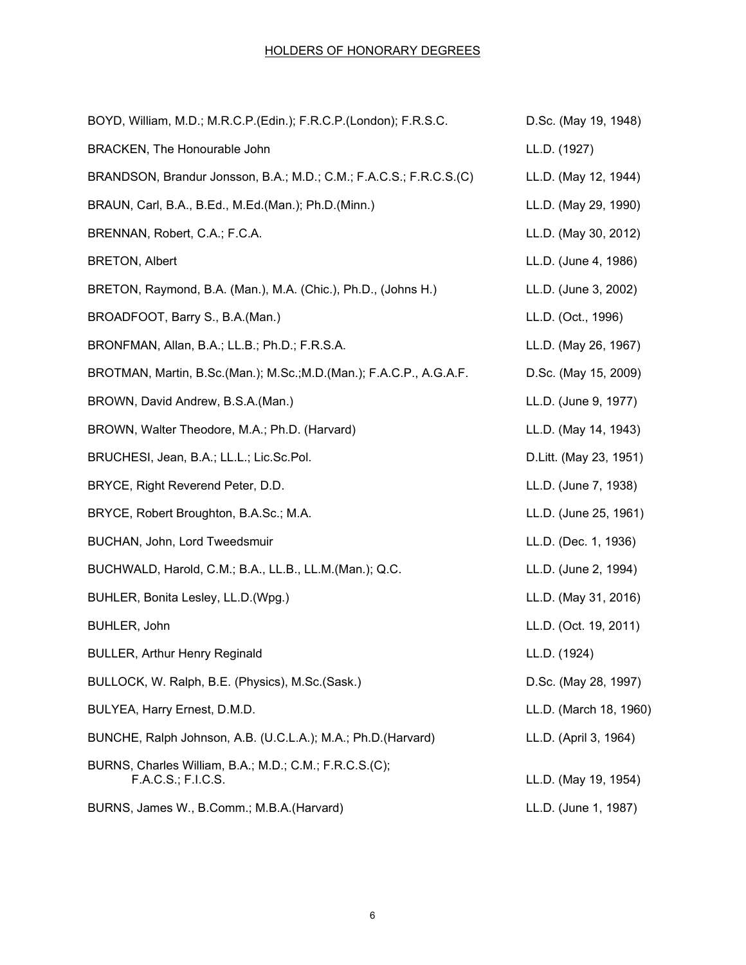| BOYD, William, M.D.; M.R.C.P.(Edin.); F.R.C.P.(London); F.R.S.C.             | D.Sc. (May 19, 1948)   |
|------------------------------------------------------------------------------|------------------------|
| BRACKEN, The Honourable John                                                 | LL.D. (1927)           |
| BRANDSON, Brandur Jonsson, B.A.; M.D.; C.M.; F.A.C.S.; F.R.C.S.(C)           | LL.D. (May 12, 1944)   |
| BRAUN, Carl, B.A., B.Ed., M.Ed.(Man.); Ph.D.(Minn.)                          | LL.D. (May 29, 1990)   |
| BRENNAN, Robert, C.A.; F.C.A.                                                | LL.D. (May 30, 2012)   |
| <b>BRETON, Albert</b>                                                        | LL.D. (June 4, 1986)   |
| BRETON, Raymond, B.A. (Man.), M.A. (Chic.), Ph.D., (Johns H.)                | LL.D. (June 3, 2002)   |
| BROADFOOT, Barry S., B.A. (Man.)                                             | LL.D. (Oct., 1996)     |
| BRONFMAN, Allan, B.A.; LL.B.; Ph.D.; F.R.S.A.                                | LL.D. (May 26, 1967)   |
| BROTMAN, Martin, B.Sc.(Man.); M.Sc.;M.D.(Man.); F.A.C.P., A.G.A.F.           | D.Sc. (May 15, 2009)   |
| BROWN, David Andrew, B.S.A.(Man.)                                            | LL.D. (June 9, 1977)   |
| BROWN, Walter Theodore, M.A.; Ph.D. (Harvard)                                | LL.D. (May 14, 1943)   |
| BRUCHESI, Jean, B.A.; LL.L.; Lic.Sc.Pol.                                     | D.Litt. (May 23, 1951) |
| BRYCE, Right Reverend Peter, D.D.                                            | LL.D. (June 7, 1938)   |
| BRYCE, Robert Broughton, B.A.Sc.; M.A.                                       | LL.D. (June 25, 1961)  |
| BUCHAN, John, Lord Tweedsmuir                                                | LL.D. (Dec. 1, 1936)   |
| BUCHWALD, Harold, C.M.; B.A., LL.B., LL.M.(Man.); Q.C.                       | LL.D. (June 2, 1994)   |
| BUHLER, Bonita Lesley, LL.D. (Wpg.)                                          | LL.D. (May 31, 2016)   |
| BUHLER, John                                                                 | LL.D. (Oct. 19, 2011)  |
| <b>BULLER, Arthur Henry Reginald</b>                                         | LL.D. (1924)           |
| BULLOCK, W. Ralph, B.E. (Physics), M.Sc. (Sask.)                             | D.Sc. (May 28, 1997)   |
| BULYEA, Harry Ernest, D.M.D.                                                 | LL.D. (March 18, 1960) |
| BUNCHE, Ralph Johnson, A.B. (U.C.L.A.); M.A.; Ph.D. (Harvard)                | LL.D. (April 3, 1964)  |
| BURNS, Charles William, B.A.; M.D.; C.M.; F.R.C.S.(C);<br>F.A.C.S.; F.I.C.S. | LL.D. (May 19, 1954)   |
| BURNS, James W., B.Comm.; M.B.A. (Harvard)                                   | LL.D. (June 1, 1987)   |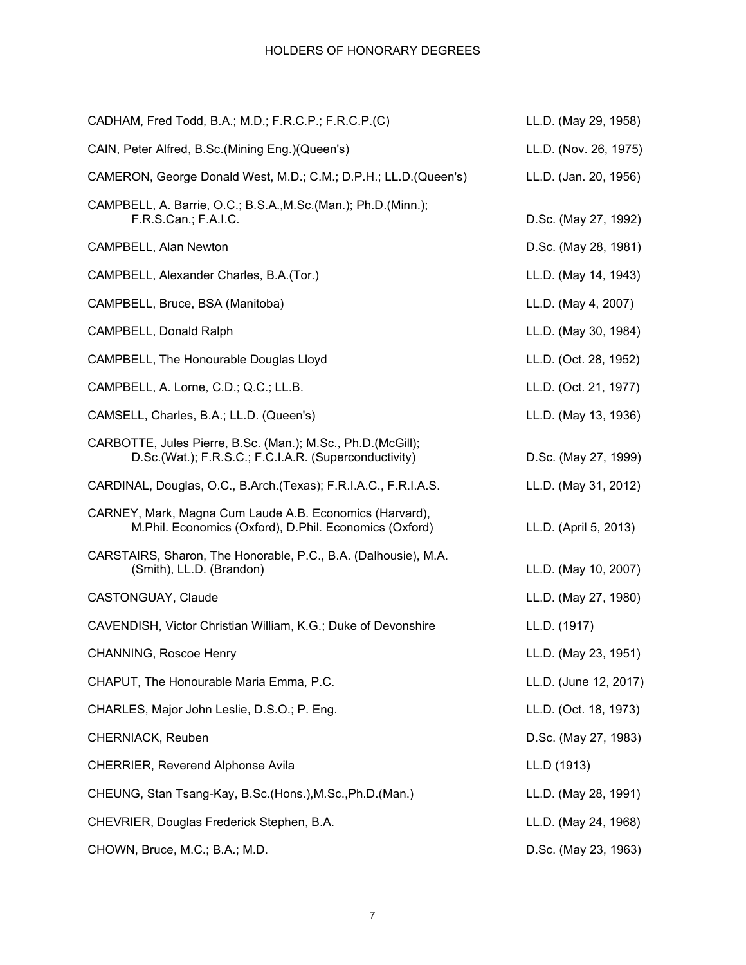| CADHAM, Fred Todd, B.A.; M.D.; F.R.C.P.; F.R.C.P.(C)                                                                  | LL.D. (May 29, 1958)  |
|-----------------------------------------------------------------------------------------------------------------------|-----------------------|
| CAIN, Peter Alfred, B.Sc.(Mining Eng.)(Queen's)                                                                       | LL.D. (Nov. 26, 1975) |
| CAMERON, George Donald West, M.D.; C.M.; D.P.H.; LL.D.(Queen's)                                                       | LL.D. (Jan. 20, 1956) |
| CAMPBELL, A. Barrie, O.C.; B.S.A., M.Sc. (Man.); Ph.D. (Minn.);<br>F.R.S.Can.; F.A.I.C.                               | D.Sc. (May 27, 1992)  |
| <b>CAMPBELL, Alan Newton</b>                                                                                          | D.Sc. (May 28, 1981)  |
| CAMPBELL, Alexander Charles, B.A.(Tor.)                                                                               | LL.D. (May 14, 1943)  |
| CAMPBELL, Bruce, BSA (Manitoba)                                                                                       | LL.D. (May 4, 2007)   |
| CAMPBELL, Donald Ralph                                                                                                | LL.D. (May 30, 1984)  |
| CAMPBELL, The Honourable Douglas Lloyd                                                                                | LL.D. (Oct. 28, 1952) |
| CAMPBELL, A. Lorne, C.D.; Q.C.; LL.B.                                                                                 | LL.D. (Oct. 21, 1977) |
| CAMSELL, Charles, B.A.; LL.D. (Queen's)                                                                               | LL.D. (May 13, 1936)  |
| CARBOTTE, Jules Pierre, B.Sc. (Man.); M.Sc., Ph.D. (McGill);<br>D.Sc.(Wat.); F.R.S.C.; F.C.I.A.R. (Superconductivity) | D.Sc. (May 27, 1999)  |
| CARDINAL, Douglas, O.C., B.Arch. (Texas); F.R.I.A.C., F.R.I.A.S.                                                      | LL.D. (May 31, 2012)  |
| CARNEY, Mark, Magna Cum Laude A.B. Economics (Harvard),<br>M.Phil. Economics (Oxford), D.Phil. Economics (Oxford)     | LL.D. (April 5, 2013) |
| CARSTAIRS, Sharon, The Honorable, P.C., B.A. (Dalhousie), M.A.<br>(Smith), LL.D. (Brandon)                            | LL.D. (May 10, 2007)  |
| <b>CASTONGUAY, Claude</b>                                                                                             | LL.D. (May 27, 1980)  |
| CAVENDISH, Victor Christian William, K.G.; Duke of Devonshire                                                         | LL.D. (1917)          |
| CHANNING, Roscoe Henry                                                                                                | LL.D. (May 23, 1951)  |
| CHAPUT, The Honourable Maria Emma, P.C.                                                                               | LL.D. (June 12, 2017) |
| CHARLES, Major John Leslie, D.S.O.; P. Eng.                                                                           | LL.D. (Oct. 18, 1973) |
| CHERNIACK, Reuben                                                                                                     | D.Sc. (May 27, 1983)  |
| CHERRIER, Reverend Alphonse Avila                                                                                     | LL.D (1913)           |
| CHEUNG, Stan Tsang-Kay, B.Sc.(Hons.), M.Sc., Ph.D.(Man.)                                                              | LL.D. (May 28, 1991)  |
| CHEVRIER, Douglas Frederick Stephen, B.A.                                                                             | LL.D. (May 24, 1968)  |
| CHOWN, Bruce, M.C.; B.A.; M.D.                                                                                        | D.Sc. (May 23, 1963)  |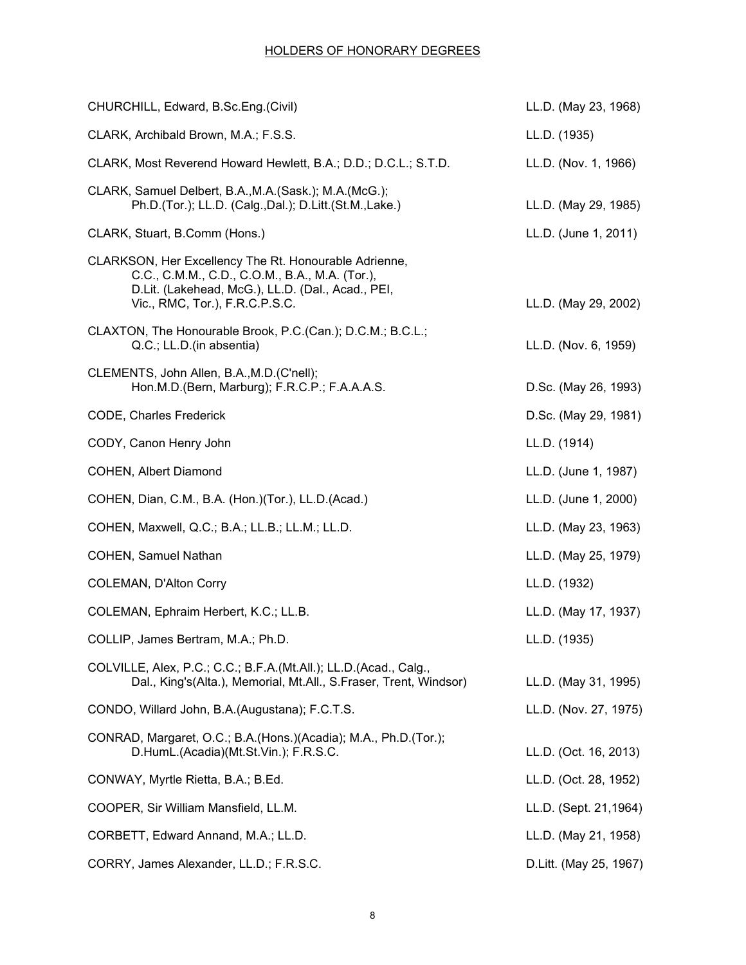| CHURCHILL, Edward, B.Sc.Eng.(Civil)                                                                                                                                                            | LL.D. (May 23, 1968)   |
|------------------------------------------------------------------------------------------------------------------------------------------------------------------------------------------------|------------------------|
| CLARK, Archibald Brown, M.A.; F.S.S.                                                                                                                                                           | LL.D. (1935)           |
| CLARK, Most Reverend Howard Hewlett, B.A.; D.D.; D.C.L.; S.T.D.                                                                                                                                | LL.D. (Nov. 1, 1966)   |
| CLARK, Samuel Delbert, B.A., M.A. (Sask.); M.A. (McG.);<br>Ph.D.(Tor.); LL.D. (Calg.,Dal.); D.Litt.(St.M.,Lake.)                                                                               | LL.D. (May 29, 1985)   |
| CLARK, Stuart, B.Comm (Hons.)                                                                                                                                                                  | LL.D. (June 1, 2011)   |
| CLARKSON, Her Excellency The Rt. Honourable Adrienne,<br>C.C., C.M.M., C.D., C.O.M., B.A., M.A. (Tor.),<br>D.Lit. (Lakehead, McG.), LL.D. (Dal., Acad., PEI,<br>Vic., RMC, Tor.), F.R.C.P.S.C. | LL.D. (May 29, 2002)   |
| CLAXTON, The Honourable Brook, P.C. (Can.); D.C.M.; B.C.L.;<br>Q.C.; LL.D.(in absentia)                                                                                                        | LL.D. (Nov. 6, 1959)   |
| CLEMENTS, John Allen, B.A., M.D. (C'nell);<br>Hon.M.D. (Bern, Marburg); F.R.C.P.; F.A.A.A.S.                                                                                                   | D.Sc. (May 26, 1993)   |
| CODE, Charles Frederick                                                                                                                                                                        | D.Sc. (May 29, 1981)   |
| CODY, Canon Henry John                                                                                                                                                                         | LL.D. (1914)           |
| <b>COHEN, Albert Diamond</b>                                                                                                                                                                   | LL.D. (June 1, 1987)   |
| COHEN, Dian, C.M., B.A. (Hon.)(Tor.), LL.D.(Acad.)                                                                                                                                             | LL.D. (June 1, 2000)   |
| COHEN, Maxwell, Q.C.; B.A.; LL.B.; LL.M.; LL.D.                                                                                                                                                | LL.D. (May 23, 1963)   |
| COHEN, Samuel Nathan                                                                                                                                                                           | LL.D. (May 25, 1979)   |
| <b>COLEMAN, D'Alton Corry</b>                                                                                                                                                                  | LL.D. (1932)           |
| COLEMAN, Ephraim Herbert, K.C.; LL.B.                                                                                                                                                          | LL.D. (May 17, 1937)   |
| COLLIP, James Bertram, M.A.; Ph.D.                                                                                                                                                             | LL.D. (1935)           |
| COLVILLE, Alex, P.C.; C.C.; B.F.A.(Mt.All.); LL.D.(Acad., Calg.,<br>Dal., King's(Alta.), Memorial, Mt.All., S.Fraser, Trent, Windsor)                                                          | LL.D. (May 31, 1995)   |
| CONDO, Willard John, B.A. (Augustana); F.C.T.S.                                                                                                                                                | LL.D. (Nov. 27, 1975)  |
| CONRAD, Margaret, O.C.; B.A.(Hons.)(Acadia); M.A., Ph.D.(Tor.);<br>D.HumL.(Acadia)(Mt.St.Vin.); F.R.S.C.                                                                                       | LL.D. (Oct. 16, 2013)  |
| CONWAY, Myrtle Rietta, B.A.; B.Ed.                                                                                                                                                             | LL.D. (Oct. 28, 1952)  |
| COOPER, Sir William Mansfield, LL.M.                                                                                                                                                           | LL.D. (Sept. 21,1964)  |
| CORBETT, Edward Annand, M.A.; LL.D.                                                                                                                                                            | LL.D. (May 21, 1958)   |
| CORRY, James Alexander, LL.D.; F.R.S.C.                                                                                                                                                        | D.Litt. (May 25, 1967) |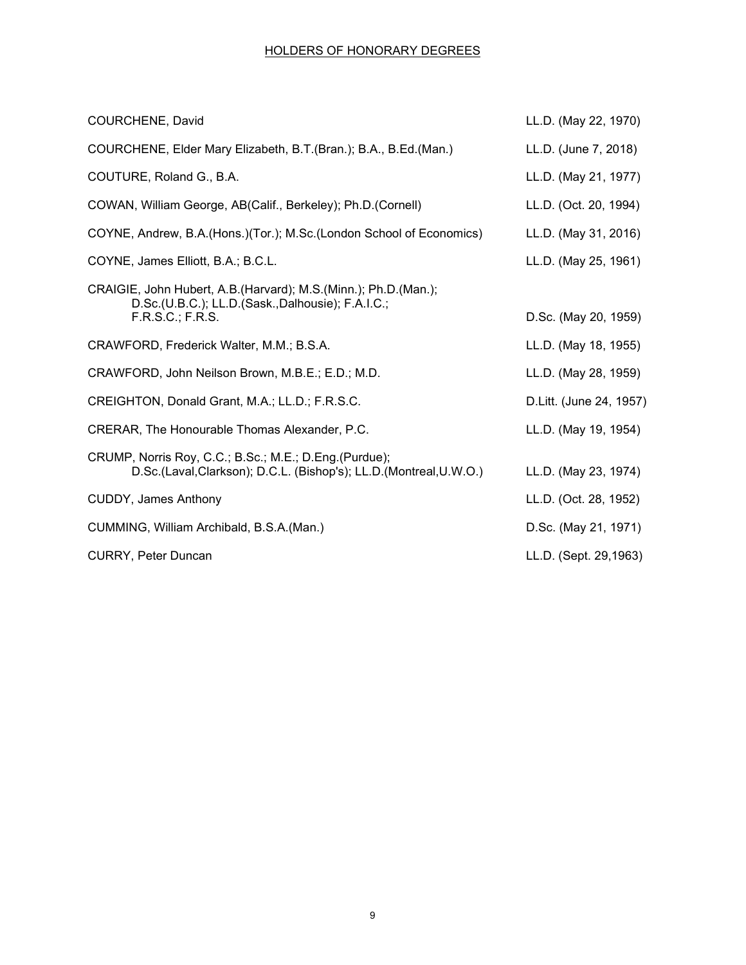| <b>COURCHENE, David</b>                                                                                                                   | LL.D. (May 22, 1970)    |
|-------------------------------------------------------------------------------------------------------------------------------------------|-------------------------|
| COURCHENE, Elder Mary Elizabeth, B.T. (Bran.); B.A., B.Ed. (Man.)                                                                         | LL.D. (June 7, 2018)    |
| COUTURE, Roland G., B.A.                                                                                                                  | LL.D. (May 21, 1977)    |
| COWAN, William George, AB(Calif., Berkeley); Ph.D.(Cornell)                                                                               | LL.D. (Oct. 20, 1994)   |
| COYNE, Andrew, B.A.(Hons.)(Tor.); M.Sc.(London School of Economics)                                                                       | LL.D. (May 31, 2016)    |
| COYNE, James Elliott, B.A.; B.C.L.                                                                                                        | LL.D. (May 25, 1961)    |
| CRAIGIE, John Hubert, A.B. (Harvard); M.S. (Minn.); Ph.D. (Man.);<br>D.Sc.(U.B.C.); LL.D.(Sask.,Dalhousie); F.A.I.C.;<br>F.R.S.C.; F.R.S. | D.Sc. (May 20, 1959)    |
| CRAWFORD, Frederick Walter, M.M.; B.S.A.                                                                                                  | LL.D. (May 18, 1955)    |
| CRAWFORD, John Neilson Brown, M.B.E.; E.D.; M.D.                                                                                          | LL.D. (May 28, 1959)    |
| CREIGHTON, Donald Grant, M.A.; LL.D.; F.R.S.C.                                                                                            | D.Litt. (June 24, 1957) |
| CRERAR, The Honourable Thomas Alexander, P.C.                                                                                             | LL.D. (May 19, 1954)    |
| CRUMP, Norris Roy, C.C.; B.Sc.; M.E.; D.Eng.(Purdue);<br>D.Sc.(Laval,Clarkson); D.C.L. (Bishop's); LL.D.(Montreal, U.W.O.)                | LL.D. (May 23, 1974)    |
| <b>CUDDY, James Anthony</b>                                                                                                               | LL.D. (Oct. 28, 1952)   |
| CUMMING, William Archibald, B.S.A.(Man.)                                                                                                  | D.Sc. (May 21, 1971)    |
| <b>CURRY, Peter Duncan</b>                                                                                                                | LL.D. (Sept. 29,1963)   |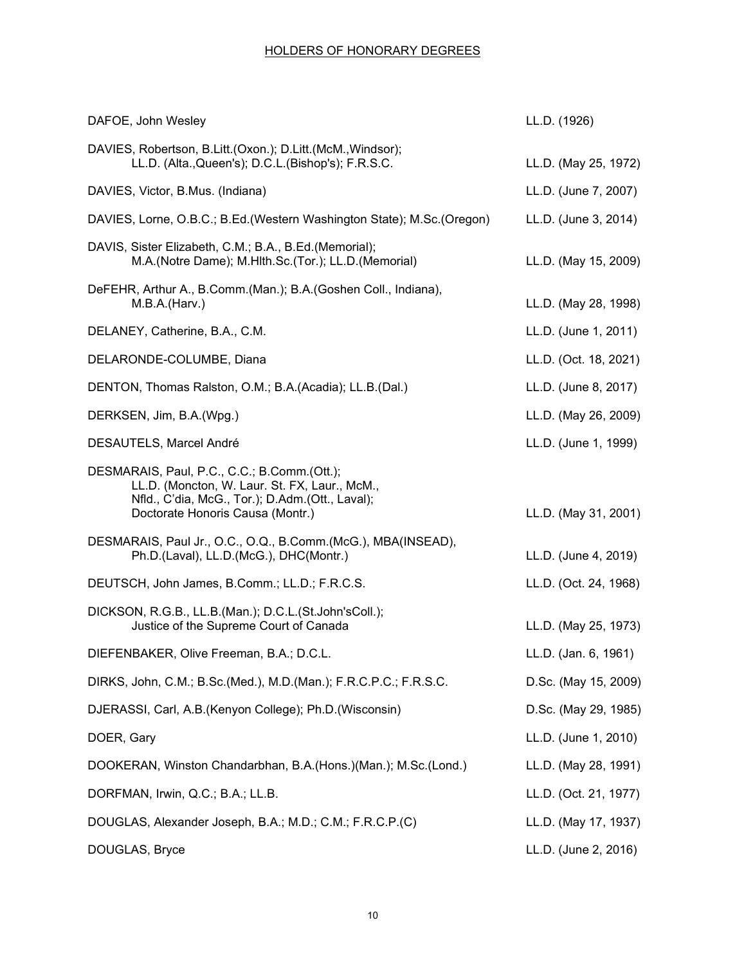| DAFOE, John Wesley                                                                                                                                                                  | LL.D. (1926)          |
|-------------------------------------------------------------------------------------------------------------------------------------------------------------------------------------|-----------------------|
| DAVIES, Robertson, B.Litt.(Oxon.); D.Litt.(McM., Windsor);<br>LL.D. (Alta., Queen's); D.C.L. (Bishop's); F.R.S.C.                                                                   | LL.D. (May 25, 1972)  |
| DAVIES, Victor, B.Mus. (Indiana)                                                                                                                                                    | LL.D. (June 7, 2007)  |
| DAVIES, Lorne, O.B.C.; B.Ed.(Western Washington State); M.Sc.(Oregon)                                                                                                               | LL.D. (June 3, 2014)  |
| DAVIS, Sister Elizabeth, C.M.; B.A., B.Ed.(Memorial);<br>M.A.(Notre Dame); M.Hlth.Sc.(Tor.); LL.D.(Memorial)                                                                        | LL.D. (May 15, 2009)  |
| DeFEHR, Arthur A., B.Comm.(Man.); B.A.(Goshen Coll., Indiana),<br>M.B.A.(Harv.)                                                                                                     | LL.D. (May 28, 1998)  |
| DELANEY, Catherine, B.A., C.M.                                                                                                                                                      | LL.D. (June 1, 2011)  |
| DELARONDE-COLUMBE, Diana                                                                                                                                                            | LL.D. (Oct. 18, 2021) |
| DENTON, Thomas Ralston, O.M.; B.A.(Acadia); LL.B.(Dal.)                                                                                                                             | LL.D. (June 8, 2017)  |
| DERKSEN, Jim, B.A.(Wpg.)                                                                                                                                                            | LL.D. (May 26, 2009)  |
| DESAUTELS, Marcel André                                                                                                                                                             | LL.D. (June 1, 1999)  |
| DESMARAIS, Paul, P.C., C.C.; B.Comm.(Ott.);<br>LL.D. (Moncton, W. Laur. St. FX, Laur., McM.,<br>Nfld., C'dia, McG., Tor.); D.Adm.(Ott., Laval);<br>Doctorate Honoris Causa (Montr.) | LL.D. (May 31, 2001)  |
| DESMARAIS, Paul Jr., O.C., O.Q., B.Comm.(McG.), MBA(INSEAD),<br>Ph.D.(Laval), LL.D.(McG.), DHC(Montr.)                                                                              | LL.D. (June 4, 2019)  |
| DEUTSCH, John James, B.Comm.; LL.D.; F.R.C.S.                                                                                                                                       | LL.D. (Oct. 24, 1968) |
| DICKSON, R.G.B., LL.B.(Man.); D.C.L.(St.John'sColl.);<br>Justice of the Supreme Court of Canada                                                                                     | LL.D. (May 25, 1973)  |
| DIEFENBAKER, Olive Freeman, B.A.; D.C.L.                                                                                                                                            | LL.D. (Jan. 6, 1961)  |
| DIRKS, John, C.M.; B.Sc.(Med.), M.D.(Man.); F.R.C.P.C.; F.R.S.C.                                                                                                                    | D.Sc. (May 15, 2009)  |
| DJERASSI, Carl, A.B.(Kenyon College); Ph.D.(Wisconsin)                                                                                                                              | D.Sc. (May 29, 1985)  |
| DOER, Gary                                                                                                                                                                          | LL.D. (June 1, 2010)  |
| DOOKERAN, Winston Chandarbhan, B.A. (Hons.) (Man.); M.Sc. (Lond.)                                                                                                                   | LL.D. (May 28, 1991)  |
| DORFMAN, Irwin, Q.C.; B.A.; LL.B.                                                                                                                                                   | LL.D. (Oct. 21, 1977) |
| DOUGLAS, Alexander Joseph, B.A.; M.D.; C.M.; F.R.C.P.(C)                                                                                                                            | LL.D. (May 17, 1937)  |
| DOUGLAS, Bryce                                                                                                                                                                      | LL.D. (June 2, 2016)  |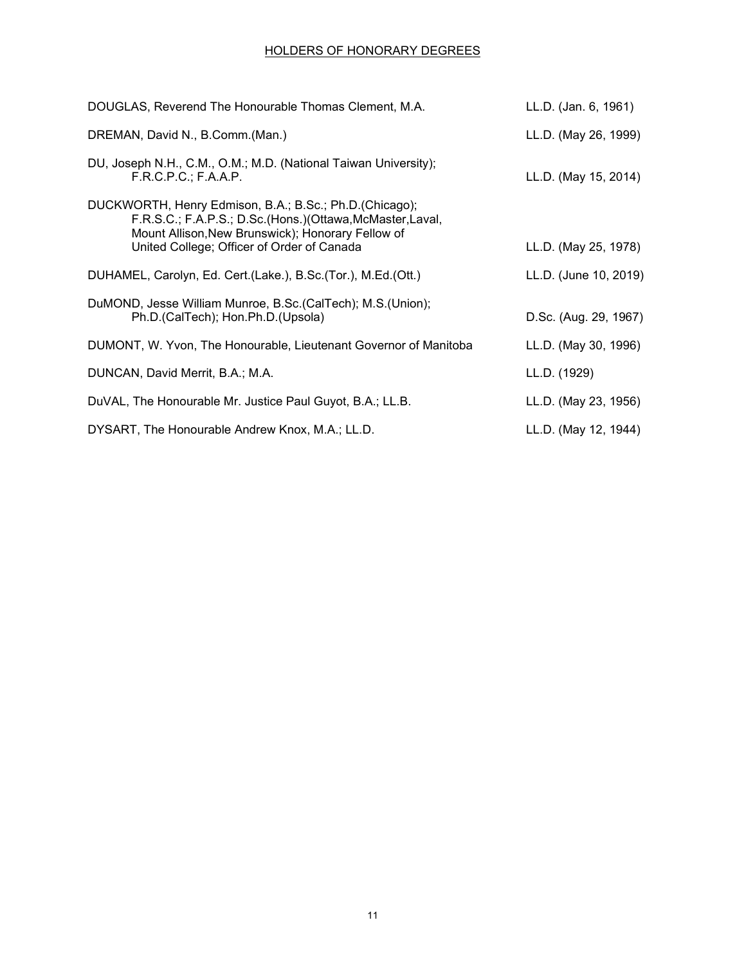| DOUGLAS, Reverend The Honourable Thomas Clement, M.A.                                                                                                                                                                   | LL.D. (Jan. 6, 1961)  |
|-------------------------------------------------------------------------------------------------------------------------------------------------------------------------------------------------------------------------|-----------------------|
| DREMAN, David N., B.Comm.(Man.)                                                                                                                                                                                         | LL.D. (May 26, 1999)  |
| DU, Joseph N.H., C.M., O.M.; M.D. (National Taiwan University);<br>F.R.C.P.C.; F.A.A.P.                                                                                                                                 | LL.D. (May 15, 2014)  |
| DUCKWORTH, Henry Edmison, B.A.; B.Sc.; Ph.D. (Chicago);<br>F.R.S.C.; F.A.P.S.; D.Sc.(Hons.)(Ottawa, McMaster, Laval,<br>Mount Allison, New Brunswick); Honorary Fellow of<br>United College; Officer of Order of Canada | LL.D. (May 25, 1978)  |
| DUHAMEL, Carolyn, Ed. Cert. (Lake.), B.Sc. (Tor.), M.Ed. (Ott.)                                                                                                                                                         | LL.D. (June 10, 2019) |
| DuMOND, Jesse William Munroe, B.Sc. (CalTech); M.S. (Union);<br>Ph.D.(CalTech); Hon.Ph.D.(Upsola)                                                                                                                       | D.Sc. (Aug. 29, 1967) |
| DUMONT, W. Yvon, The Honourable, Lieutenant Governor of Manitoba                                                                                                                                                        | LL.D. (May 30, 1996)  |
| DUNCAN, David Merrit, B.A.; M.A.                                                                                                                                                                                        | LL.D. (1929)          |
| DuVAL, The Honourable Mr. Justice Paul Guyot, B.A.; LL.B.                                                                                                                                                               | LL.D. (May 23, 1956)  |
| DYSART, The Honourable Andrew Knox, M.A.; LL.D.                                                                                                                                                                         | LL.D. (May 12, 1944)  |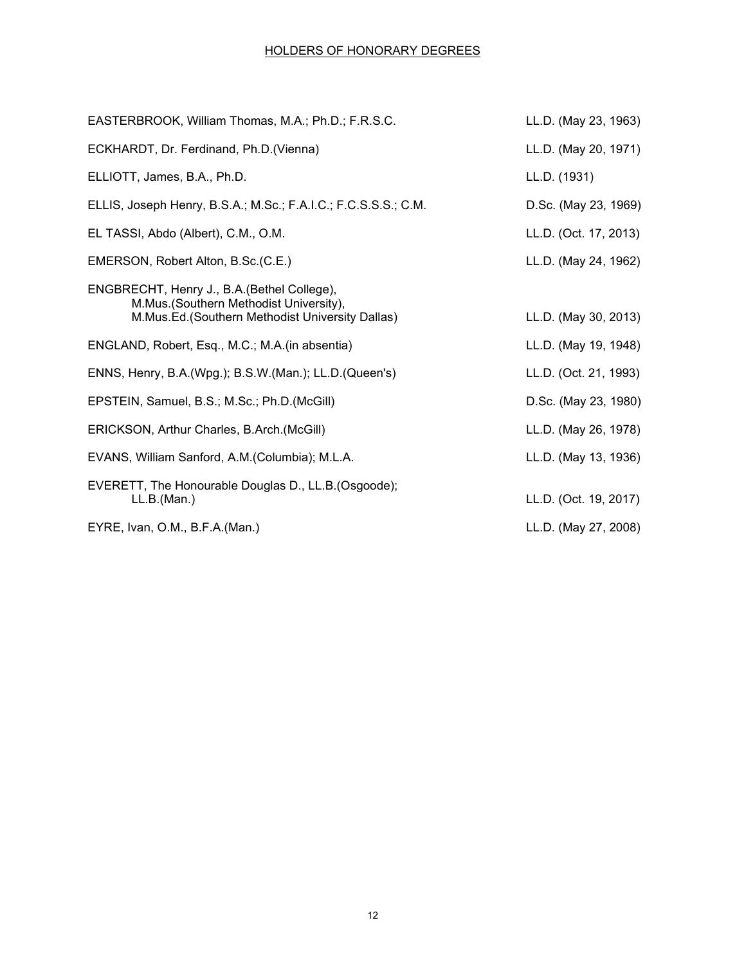| EASTERBROOK, William Thomas, M.A.; Ph.D.; F.R.S.C.                                                                                        | LL.D. (May 23, 1963)  |
|-------------------------------------------------------------------------------------------------------------------------------------------|-----------------------|
| ECKHARDT, Dr. Ferdinand, Ph.D.(Vienna)                                                                                                    | LL.D. (May 20, 1971)  |
| ELLIOTT, James, B.A., Ph.D.                                                                                                               | LL.D. (1931)          |
| ELLIS, Joseph Henry, B.S.A.; M.Sc.; F.A.I.C.; F.C.S.S.S.; C.M.                                                                            | D.Sc. (May 23, 1969)  |
| EL TASSI, Abdo (Albert), C.M., O.M.                                                                                                       | LL.D. (Oct. 17, 2013) |
| EMERSON, Robert Alton, B.Sc. (C.E.)                                                                                                       | LL.D. (May 24, 1962)  |
| ENGBRECHT, Henry J., B.A. (Bethel College),<br>M.Mus. (Southern Methodist University),<br>M.Mus.Ed.(Southern Methodist University Dallas) | LL.D. (May 30, 2013)  |
| ENGLAND, Robert, Esq., M.C.; M.A. (in absentia)                                                                                           | LL.D. (May 19, 1948)  |
| ENNS, Henry, B.A.(Wpg.); B.S.W.(Man.); LL.D.(Queen's)                                                                                     | LL.D. (Oct. 21, 1993) |
| EPSTEIN, Samuel, B.S.; M.Sc.; Ph.D.(McGill)                                                                                               | D.Sc. (May 23, 1980)  |
| ERICKSON, Arthur Charles, B.Arch.(McGill)                                                                                                 | LL.D. (May 26, 1978)  |
| EVANS, William Sanford, A.M. (Columbia); M.L.A.                                                                                           | LL.D. (May 13, 1936)  |
| EVERETT, The Honourable Douglas D., LL.B. (Osgoode);<br>LL.B.(Man.)                                                                       | LL.D. (Oct. 19, 2017) |
| EYRE, Ivan, O.M., B.F.A.(Man.)                                                                                                            | LL.D. (May 27, 2008)  |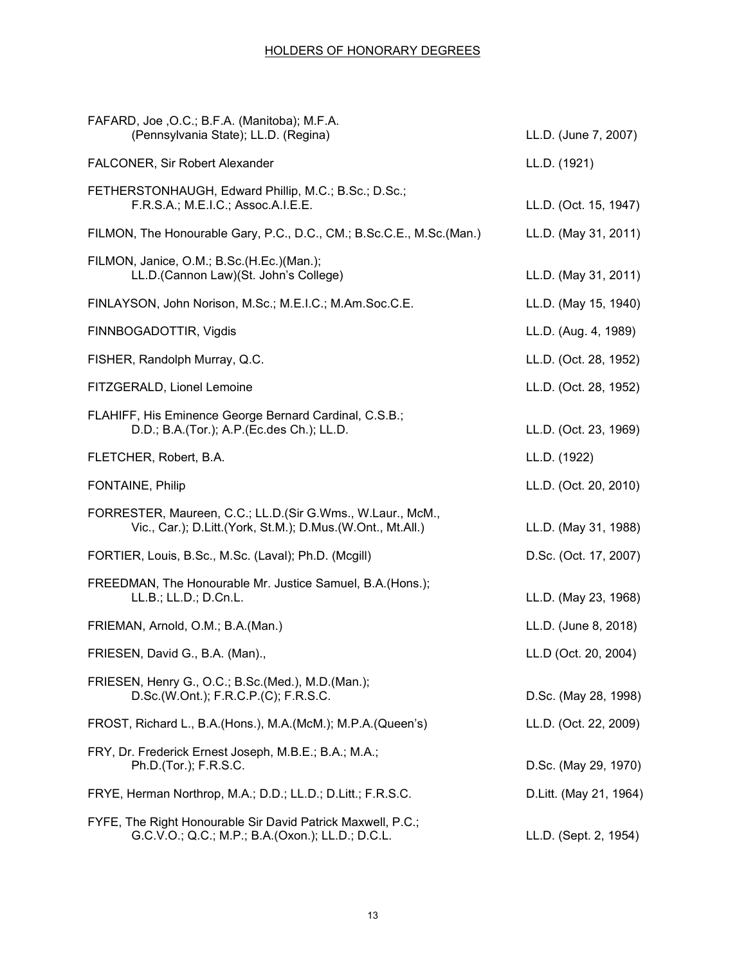| FAFARD, Joe , O.C.; B.F.A. (Manitoba); M.F.A.<br>(Pennsylvania State); LL.D. (Regina)                                    | LL.D. (June 7, 2007)   |
|--------------------------------------------------------------------------------------------------------------------------|------------------------|
| FALCONER, Sir Robert Alexander                                                                                           | LL.D. (1921)           |
| FETHERSTONHAUGH, Edward Phillip, M.C.; B.Sc.; D.Sc.;<br>F.R.S.A.; M.E.I.C.; Assoc.A.I.E.E.                               | LL.D. (Oct. 15, 1947)  |
| FILMON, The Honourable Gary, P.C., D.C., CM.; B.Sc.C.E., M.Sc.(Man.)                                                     | LL.D. (May 31, 2011)   |
| FILMON, Janice, O.M.; B.Sc.(H.Ec.)(Man.);<br>LL.D. (Cannon Law) (St. John's College)                                     | LL.D. (May 31, 2011)   |
| FINLAYSON, John Norison, M.Sc.; M.E.I.C.; M.Am.Soc.C.E.                                                                  | LL.D. (May 15, 1940)   |
| FINNBOGADOTTIR, Vigdis                                                                                                   | LL.D. (Aug. 4, 1989)   |
| FISHER, Randolph Murray, Q.C.                                                                                            | LL.D. (Oct. 28, 1952)  |
| FITZGERALD, Lionel Lemoine                                                                                               | LL.D. (Oct. 28, 1952)  |
| FLAHIFF, His Eminence George Bernard Cardinal, C.S.B.;<br>D.D.; B.A.(Tor.); A.P.(Ec.des Ch.); LL.D.                      | LL.D. (Oct. 23, 1969)  |
| FLETCHER, Robert, B.A.                                                                                                   | LL.D. (1922)           |
| <b>FONTAINE, Philip</b>                                                                                                  | LL.D. (Oct. 20, 2010)  |
| FORRESTER, Maureen, C.C.; LL.D.(Sir G.Wms., W.Laur., McM.,<br>Vic., Car.); D.Litt.(York, St.M.); D.Mus.(W.Ont., Mt.All.) | LL.D. (May 31, 1988)   |
| FORTIER, Louis, B.Sc., M.Sc. (Laval); Ph.D. (Mcgill)                                                                     | D.Sc. (Oct. 17, 2007)  |
| FREEDMAN, The Honourable Mr. Justice Samuel, B.A.(Hons.);<br>LL.B.; LL.D.; D.Cn.L.                                       | LL.D. (May 23, 1968)   |
| FRIEMAN, Arnold, O.M.; B.A.(Man.)                                                                                        | LL.D. (June 8, 2018)   |
| FRIESEN, David G., B.A. (Man).,                                                                                          | LL.D (Oct. 20, 2004)   |
| FRIESEN, Henry G., O.C.; B.Sc.(Med.), M.D.(Man.);<br>D.Sc.(W.Ont.); F.R.C.P.(C); F.R.S.C.                                | D.Sc. (May 28, 1998)   |
| FROST, Richard L., B.A. (Hons.), M.A. (McM.); M.P.A. (Queen's)                                                           | LL.D. (Oct. 22, 2009)  |
| FRY, Dr. Frederick Ernest Joseph, M.B.E.; B.A.; M.A.;<br>Ph.D.(Tor.); F.R.S.C.                                           | D.Sc. (May 29, 1970)   |
| FRYE, Herman Northrop, M.A.; D.D.; LL.D.; D.Litt.; F.R.S.C.                                                              | D.Litt. (May 21, 1964) |
| FYFE, The Right Honourable Sir David Patrick Maxwell, P.C.;<br>G.C.V.O.; Q.C.; M.P.; B.A.(Oxon.); LL.D.; D.C.L.          | LL.D. (Sept. 2, 1954)  |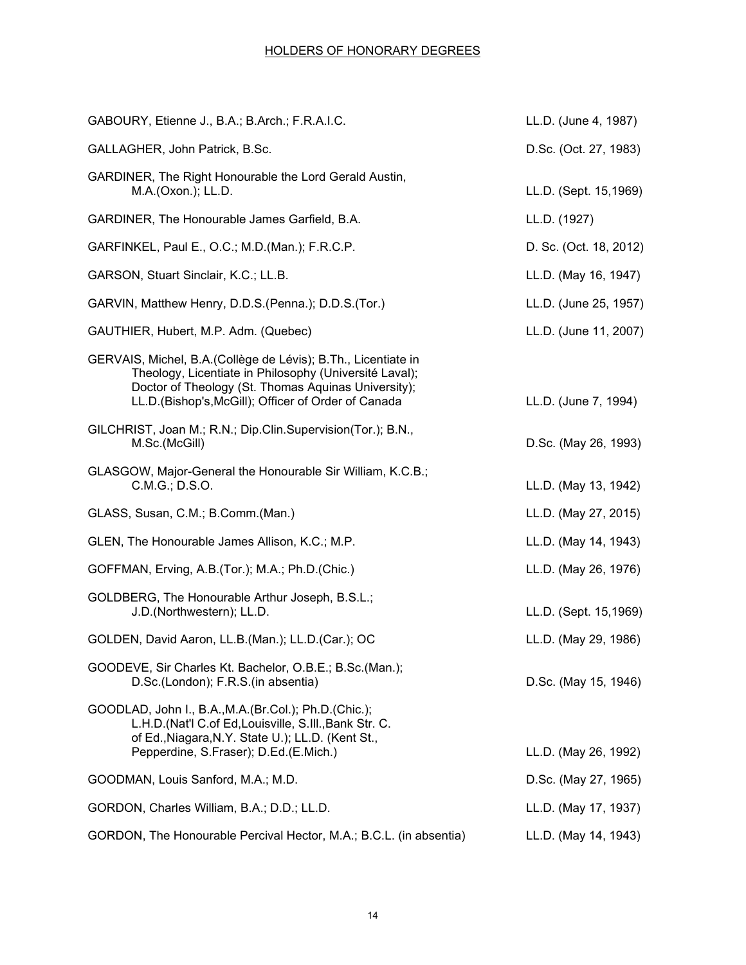| GABOURY, Etienne J., B.A.; B.Arch.; F.R.A.I.C.                                                                                                                                                                                         | LL.D. (June 4, 1987)   |
|----------------------------------------------------------------------------------------------------------------------------------------------------------------------------------------------------------------------------------------|------------------------|
| GALLAGHER, John Patrick, B.Sc.                                                                                                                                                                                                         | D.Sc. (Oct. 27, 1983)  |
| GARDINER, The Right Honourable the Lord Gerald Austin,<br>M.A.(Oxon.); LL.D.                                                                                                                                                           | LL.D. (Sept. 15,1969)  |
| GARDINER, The Honourable James Garfield, B.A.                                                                                                                                                                                          | LL.D. (1927)           |
| GARFINKEL, Paul E., O.C.; M.D.(Man.); F.R.C.P.                                                                                                                                                                                         | D. Sc. (Oct. 18, 2012) |
| GARSON, Stuart Sinclair, K.C.; LL.B.                                                                                                                                                                                                   | LL.D. (May 16, 1947)   |
| GARVIN, Matthew Henry, D.D.S. (Penna.); D.D.S. (Tor.)                                                                                                                                                                                  | LL.D. (June 25, 1957)  |
| GAUTHIER, Hubert, M.P. Adm. (Quebec)                                                                                                                                                                                                   | LL.D. (June 11, 2007)  |
| GERVAIS, Michel, B.A. (Collège de Lévis); B.Th., Licentiate in<br>Theology, Licentiate in Philosophy (Université Laval);<br>Doctor of Theology (St. Thomas Aquinas University);<br>LL.D.(Bishop's, McGill); Officer of Order of Canada | LL.D. (June 7, 1994)   |
| GILCHRIST, Joan M.; R.N.; Dip.Clin.Supervision(Tor.); B.N.,<br>M.Sc.(McGill)                                                                                                                                                           | D.Sc. (May 26, 1993)   |
| GLASGOW, Major-General the Honourable Sir William, K.C.B.;<br>C.M.G.; D.S.O.                                                                                                                                                           | LL.D. (May 13, 1942)   |
| GLASS, Susan, C.M.; B.Comm.(Man.)                                                                                                                                                                                                      | LL.D. (May 27, 2015)   |
| GLEN, The Honourable James Allison, K.C.; M.P.                                                                                                                                                                                         | LL.D. (May 14, 1943)   |
| GOFFMAN, Erving, A.B. (Tor.); M.A.; Ph.D. (Chic.)                                                                                                                                                                                      | LL.D. (May 26, 1976)   |
| GOLDBERG, The Honourable Arthur Joseph, B.S.L.;<br>J.D.(Northwestern); LL.D.                                                                                                                                                           | LL.D. (Sept. 15,1969)  |
| GOLDEN, David Aaron, LL.B.(Man.); LL.D.(Car.); OC                                                                                                                                                                                      | LL.D. (May 29, 1986)   |
| GOODEVE, Sir Charles Kt. Bachelor, O.B.E.; B.Sc.(Man.);<br>D.Sc.(London); F.R.S.(in absentia)                                                                                                                                          | D.Sc. (May 15, 1946)   |
| GOODLAD, John I., B.A., M.A. (Br.Col.); Ph.D. (Chic.);<br>L.H.D.(Nat'l C.of Ed, Louisville, S.III., Bank Str. C.<br>of Ed., Niagara, N.Y. State U.); LL.D. (Kent St.,<br>Pepperdine, S.Fraser); D.Ed.(E.Mich.)                         | LL.D. (May 26, 1992)   |
| GOODMAN, Louis Sanford, M.A.; M.D.                                                                                                                                                                                                     | D.Sc. (May 27, 1965)   |
| GORDON, Charles William, B.A.; D.D.; LL.D.                                                                                                                                                                                             | LL.D. (May 17, 1937)   |
| GORDON, The Honourable Percival Hector, M.A.; B.C.L. (in absentia)                                                                                                                                                                     | LL.D. (May 14, 1943)   |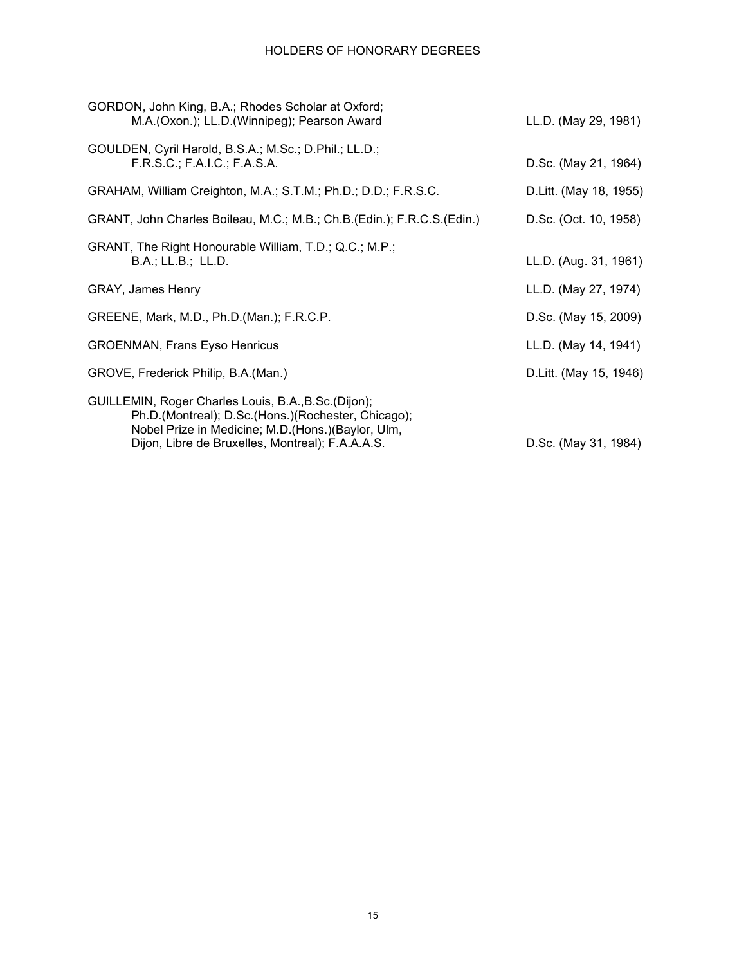| GORDON, John King, B.A.; Rhodes Scholar at Oxford;<br>M.A. (Oxon.); LL.D. (Winnipeg); Pearson Award                                                                                                                   | LL.D. (May 29, 1981)    |
|-----------------------------------------------------------------------------------------------------------------------------------------------------------------------------------------------------------------------|-------------------------|
| GOULDEN, Cyril Harold, B.S.A.; M.Sc.; D.Phil.; LL.D.;<br>F.R.S.C.; F.A.I.C.; F.A.S.A.                                                                                                                                 | D.Sc. (May 21, 1964)    |
| GRAHAM, William Creighton, M.A.; S.T.M.; Ph.D.; D.D.; F.R.S.C.                                                                                                                                                        | D. Litt. (May 18, 1955) |
| GRANT, John Charles Boileau, M.C.; M.B.; Ch.B.(Edin.); F.R.C.S.(Edin.)                                                                                                                                                | D.Sc. (Oct. 10, 1958)   |
| GRANT, The Right Honourable William, T.D.; Q.C.; M.P.;<br>B.A.; LL.B.; LL.D.                                                                                                                                          | LL.D. (Aug. 31, 1961)   |
| <b>GRAY, James Henry</b>                                                                                                                                                                                              | LL.D. (May 27, 1974)    |
| GREENE, Mark, M.D., Ph.D.(Man.); F.R.C.P.                                                                                                                                                                             | D.Sc. (May 15, 2009)    |
| <b>GROENMAN, Frans Eyso Henricus</b>                                                                                                                                                                                  | LL.D. (May 14, 1941)    |
| GROVE, Frederick Philip, B.A. (Man.)                                                                                                                                                                                  | D. Litt. (May 15, 1946) |
| GUILLEMIN, Roger Charles Louis, B.A., B.Sc. (Dijon);<br>Ph.D.(Montreal); D.Sc.(Hons.)(Rochester, Chicago);<br>Nobel Prize in Medicine; M.D. (Hons.) (Baylor, Ulm,<br>Dijon, Libre de Bruxelles, Montreal); F.A.A.A.S. | D.Sc. (May 31, 1984)    |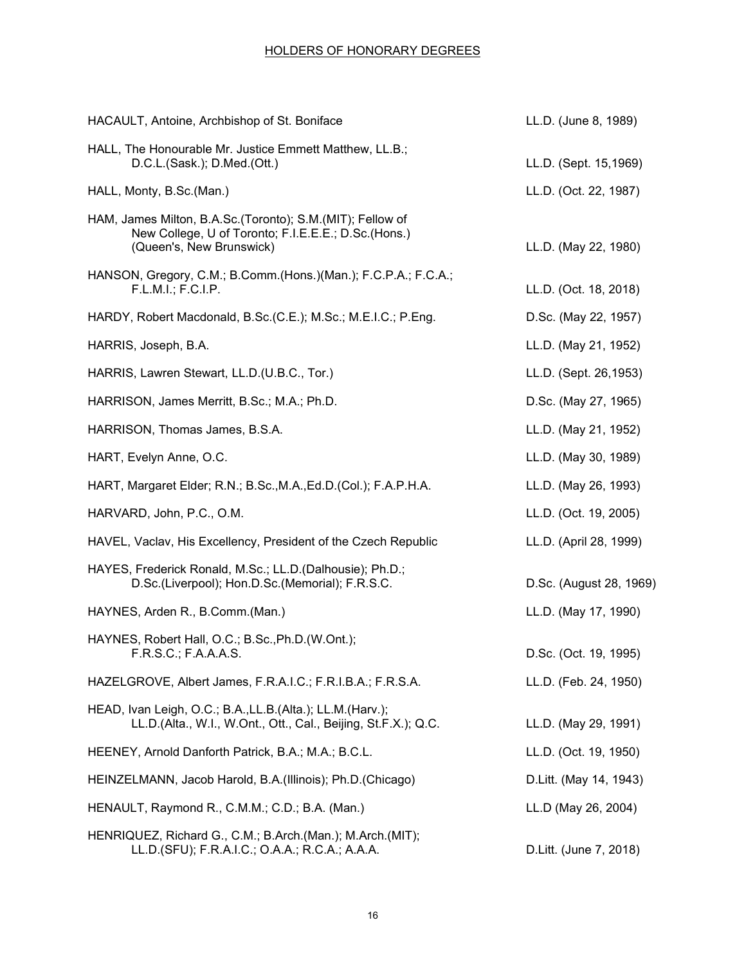| HACAULT, Antoine, Archbishop of St. Boniface                                                                                                   | LL.D. (June 8, 1989)    |
|------------------------------------------------------------------------------------------------------------------------------------------------|-------------------------|
| HALL, The Honourable Mr. Justice Emmett Matthew, LL.B.;<br>D.C.L.(Sask.); D.Med.(Ott.)                                                         | LL.D. (Sept. 15,1969)   |
| HALL, Monty, B.Sc.(Man.)                                                                                                                       | LL.D. (Oct. 22, 1987)   |
| HAM, James Milton, B.A.Sc. (Toronto); S.M. (MIT); Fellow of<br>New College, U of Toronto; F.I.E.E.E.; D.Sc.(Hons.)<br>(Queen's, New Brunswick) | LL.D. (May 22, 1980)    |
| HANSON, Gregory, C.M.; B.Comm.(Hons.)(Man.); F.C.P.A.; F.C.A.;<br>F.L.M.I.; F.C.I.P.                                                           | LL.D. (Oct. 18, 2018)   |
| HARDY, Robert Macdonald, B.Sc.(C.E.); M.Sc.; M.E.I.C.; P.Eng.                                                                                  | D.Sc. (May 22, 1957)    |
| HARRIS, Joseph, B.A.                                                                                                                           | LL.D. (May 21, 1952)    |
| HARRIS, Lawren Stewart, LL.D. (U.B.C., Tor.)                                                                                                   | LL.D. (Sept. 26,1953)   |
| HARRISON, James Merritt, B.Sc.; M.A.; Ph.D.                                                                                                    | D.Sc. (May 27, 1965)    |
| HARRISON, Thomas James, B.S.A.                                                                                                                 | LL.D. (May 21, 1952)    |
| HART, Evelyn Anne, O.C.                                                                                                                        | LL.D. (May 30, 1989)    |
| HART, Margaret Elder; R.N.; B.Sc., M.A., Ed.D. (Col.); F.A.P.H.A.                                                                              | LL.D. (May 26, 1993)    |
| HARVARD, John, P.C., O.M.                                                                                                                      | LL.D. (Oct. 19, 2005)   |
| HAVEL, Vaclav, His Excellency, President of the Czech Republic                                                                                 | LL.D. (April 28, 1999)  |
| HAYES, Frederick Ronald, M.Sc.; LL.D. (Dalhousie); Ph.D.;<br>D.Sc.(Liverpool); Hon.D.Sc.(Memorial); F.R.S.C.                                   | D.Sc. (August 28, 1969) |
| HAYNES, Arden R., B.Comm.(Man.)                                                                                                                | LL.D. (May 17, 1990)    |
| HAYNES, Robert Hall, O.C.; B.Sc., Ph.D. (W.Ont.);<br>F.R.S.C.; F.A.A.A.S.                                                                      | D.Sc. (Oct. 19, 1995)   |
| HAZELGROVE, Albert James, F.R.A.I.C.; F.R.I.B.A.; F.R.S.A.                                                                                     | LL.D. (Feb. 24, 1950)   |
| HEAD, Ivan Leigh, O.C.; B.A., LL.B. (Alta.); LL.M. (Harv.);<br>LL.D. (Alta., W.I., W.Ont., Ott., Cal., Beijing, St.F.X.); Q.C.                 | LL.D. (May 29, 1991)    |
| HEENEY, Arnold Danforth Patrick, B.A.; M.A.; B.C.L.                                                                                            | LL.D. (Oct. 19, 1950)   |
| HEINZELMANN, Jacob Harold, B.A. (Illinois); Ph.D. (Chicago)                                                                                    | D.Litt. (May 14, 1943)  |
| HENAULT, Raymond R., C.M.M.; C.D.; B.A. (Man.)                                                                                                 | LL.D (May 26, 2004)     |
| HENRIQUEZ, Richard G., C.M.; B.Arch.(Man.); M.Arch.(MIT);<br>LL.D.(SFU); F.R.A.I.C.; O.A.A.; R.C.A.; A.A.A.                                    | D.Litt. (June 7, 2018)  |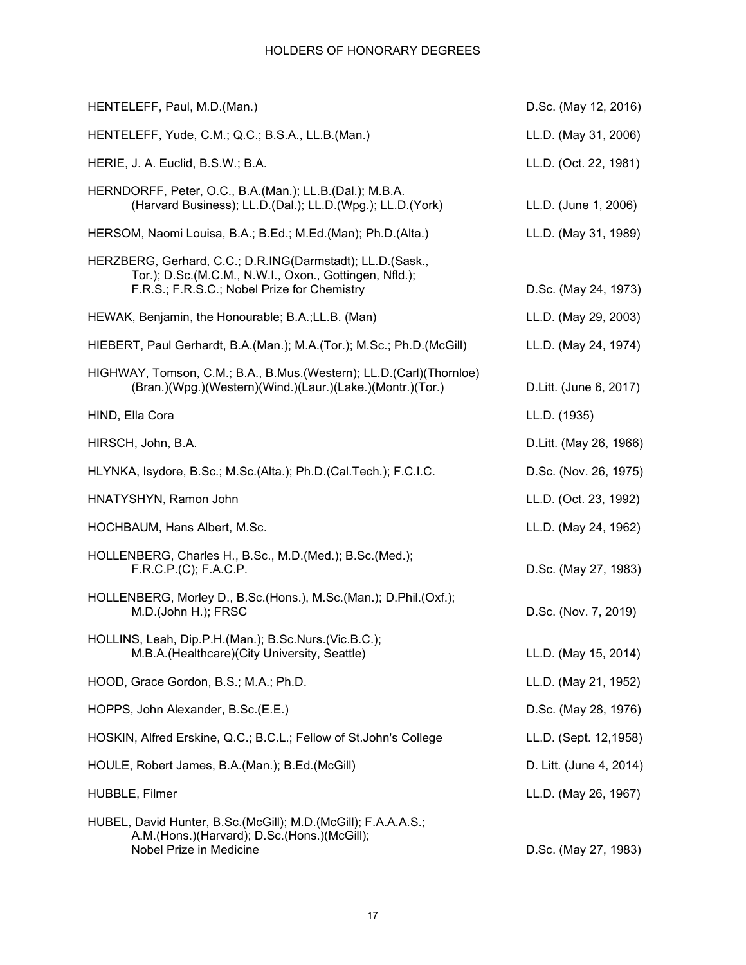| HENTELEFF, Paul, M.D.(Man.)                                                                                                                                        | D.Sc. (May 12, 2016)    |
|--------------------------------------------------------------------------------------------------------------------------------------------------------------------|-------------------------|
| HENTELEFF, Yude, C.M.; Q.C.; B.S.A., LL.B.(Man.)                                                                                                                   | LL.D. (May 31, 2006)    |
| HERIE, J. A. Euclid, B.S.W.; B.A.                                                                                                                                  | LL.D. (Oct. 22, 1981)   |
| HERNDORFF, Peter, O.C., B.A.(Man.); LL.B.(Dal.); M.B.A.<br>(Harvard Business); LL.D.(Dal.); LL.D.(Wpg.); LL.D.(York)                                               | LL.D. (June 1, 2006)    |
| HERSOM, Naomi Louisa, B.A.; B.Ed.; M.Ed.(Man); Ph.D.(Alta.)                                                                                                        | LL.D. (May 31, 1989)    |
| HERZBERG, Gerhard, C.C.; D.R.ING(Darmstadt); LL.D.(Sask.,<br>Tor.); D.Sc.(M.C.M., N.W.I., Oxon., Gottingen, Nfld.);<br>F.R.S.; F.R.S.C.; Nobel Prize for Chemistry | D.Sc. (May 24, 1973)    |
| HEWAK, Benjamin, the Honourable; B.A.; LL.B. (Man)                                                                                                                 | LL.D. (May 29, 2003)    |
| HIEBERT, Paul Gerhardt, B.A.(Man.); M.A.(Tor.); M.Sc.; Ph.D.(McGill)                                                                                               | LL.D. (May 24, 1974)    |
| HIGHWAY, Tomson, C.M.; B.A., B.Mus. (Western); LL.D. (Carl) (Thornloe)<br>(Bran.)(Wpg.)(Western)(Wind.)(Laur.)(Lake.)(Montr.)(Tor.)                                | D.Litt. (June 6, 2017)  |
| HIND, Ella Cora                                                                                                                                                    | LL.D. (1935)            |
| HIRSCH, John, B.A.                                                                                                                                                 | D.Litt. (May 26, 1966)  |
| HLYNKA, Isydore, B.Sc.; M.Sc.(Alta.); Ph.D.(Cal.Tech.); F.C.I.C.                                                                                                   | D.Sc. (Nov. 26, 1975)   |
| HNATYSHYN, Ramon John                                                                                                                                              | LL.D. (Oct. 23, 1992)   |
| HOCHBAUM, Hans Albert, M.Sc.                                                                                                                                       | LL.D. (May 24, 1962)    |
| HOLLENBERG, Charles H., B.Sc., M.D.(Med.); B.Sc.(Med.);<br>F.R.C.P.(C); F.A.C.P.                                                                                   | D.Sc. (May 27, 1983)    |
| HOLLENBERG, Morley D., B.Sc.(Hons.), M.Sc.(Man.); D.Phil.(Oxf.);<br>M.D.(John H.); FRSC                                                                            | D.Sc. (Nov. 7, 2019)    |
| HOLLINS, Leah, Dip.P.H.(Man.); B.Sc.Nurs.(Vic.B.C.);<br>M.B.A.(Healthcare)(City University, Seattle)                                                               | LL.D. (May 15, 2014)    |
| HOOD, Grace Gordon, B.S.; M.A.; Ph.D.                                                                                                                              | LL.D. (May 21, 1952)    |
| HOPPS, John Alexander, B.Sc.(E.E.)                                                                                                                                 | D.Sc. (May 28, 1976)    |
| HOSKIN, Alfred Erskine, Q.C.; B.C.L.; Fellow of St.John's College                                                                                                  | LL.D. (Sept. 12,1958)   |
| HOULE, Robert James, B.A.(Man.); B.Ed.(McGill)                                                                                                                     | D. Litt. (June 4, 2014) |
| HUBBLE, Filmer                                                                                                                                                     | LL.D. (May 26, 1967)    |
| HUBEL, David Hunter, B.Sc. (McGill); M.D. (McGill); F.A.A.A.S.;<br>A.M.(Hons.)(Harvard); D.Sc.(Hons.)(McGill);<br>Nobel Prize in Medicine                          | D.Sc. (May 27, 1983)    |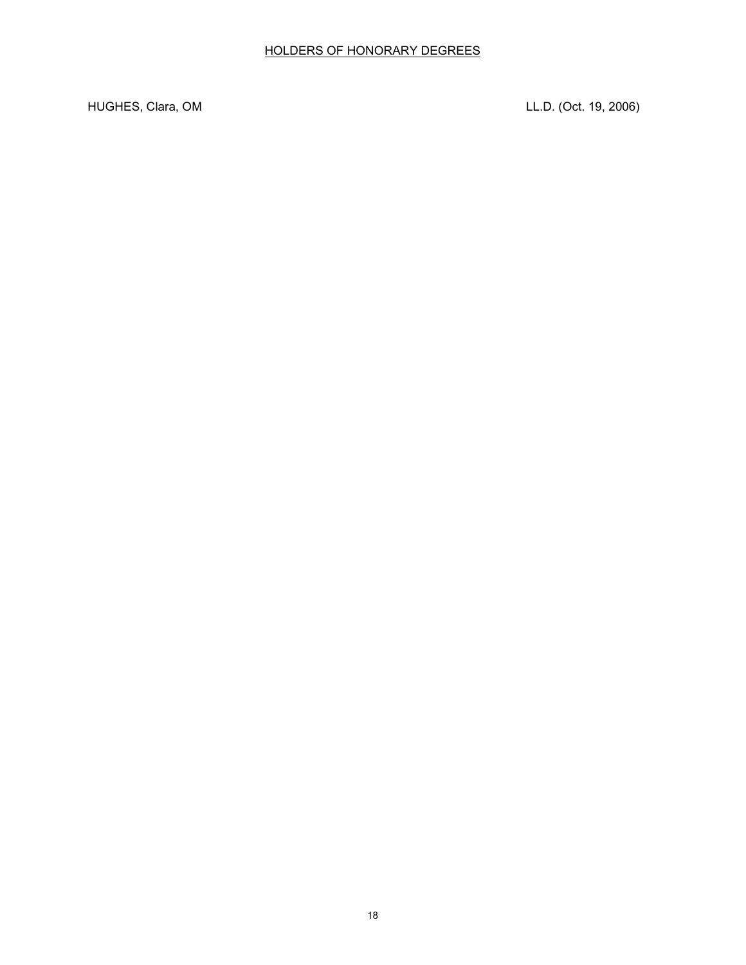HUGHES, Clara, OM LL.D. (Oct. 19, 2006)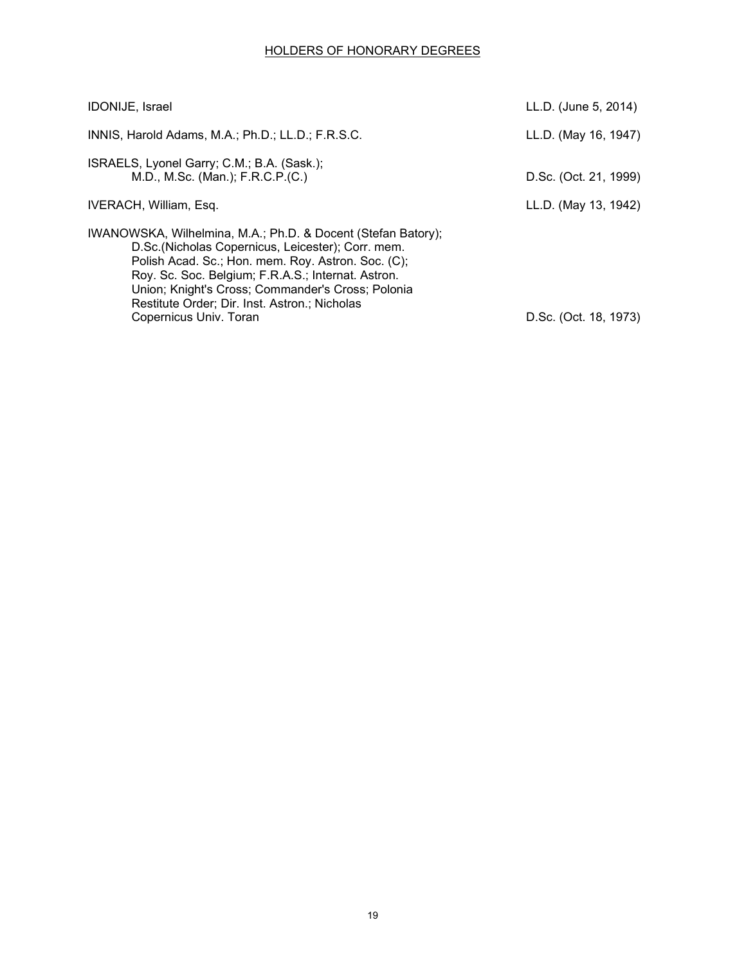| <b>IDONIJE, Israel</b>                                                                                                                                                                                                                                                                                                                                        | LL.D. (June 5, 2014)  |
|---------------------------------------------------------------------------------------------------------------------------------------------------------------------------------------------------------------------------------------------------------------------------------------------------------------------------------------------------------------|-----------------------|
| INNIS, Harold Adams, M.A.; Ph.D.; LL.D.; F.R.S.C.                                                                                                                                                                                                                                                                                                             | LL.D. (May 16, 1947)  |
| ISRAELS, Lyonel Garry; C.M.; B.A. (Sask.);<br>M.D., M.Sc. (Man.); F.R.C.P.(C.)                                                                                                                                                                                                                                                                                | D.Sc. (Oct. 21, 1999) |
| IVERACH, William, Esq.                                                                                                                                                                                                                                                                                                                                        | LL.D. (May 13, 1942)  |
| IWANOWSKA, Wilhelmina, M.A.; Ph.D. & Docent (Stefan Batory);<br>D.Sc.(Nicholas Copernicus, Leicester); Corr. mem.<br>Polish Acad. Sc.; Hon. mem. Roy. Astron. Soc. (C);<br>Roy. Sc. Soc. Belgium; F.R.A.S.; Internat. Astron.<br>Union; Knight's Cross; Commander's Cross; Polonia<br>Restitute Order; Dir. Inst. Astron.; Nicholas<br>Copernicus Univ. Toran | D.Sc. (Oct. 18, 1973) |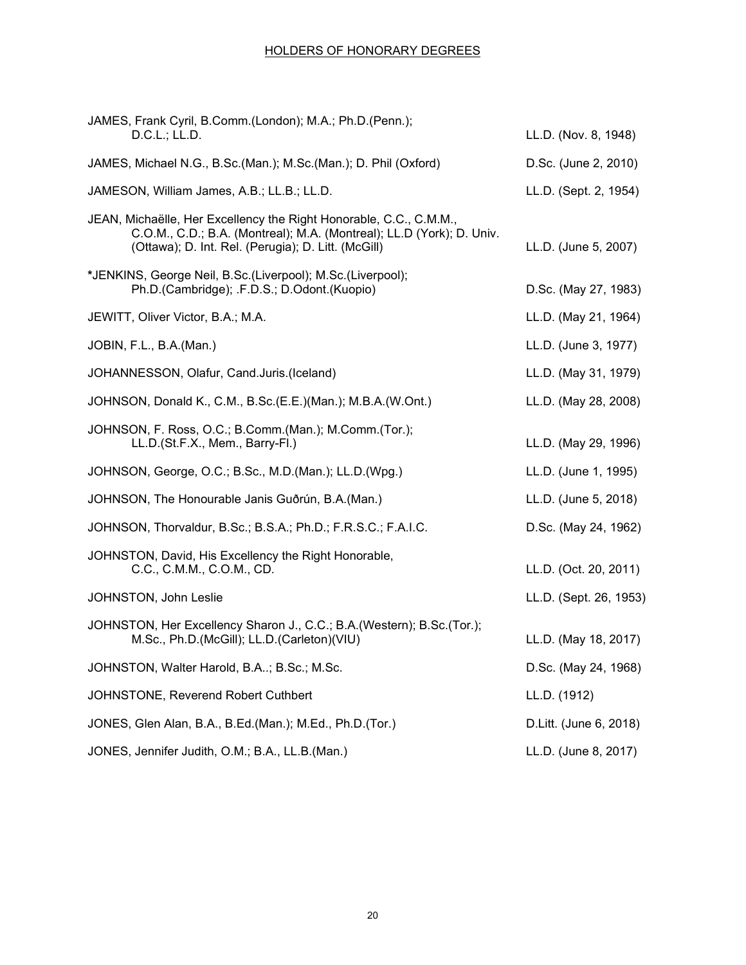| JAMES, Frank Cyril, B.Comm.(London); M.A.; Ph.D.(Penn.);<br>D.C.L.; LL.D.                                                                                                                          | LL.D. (Nov. 8, 1948)   |
|----------------------------------------------------------------------------------------------------------------------------------------------------------------------------------------------------|------------------------|
| JAMES, Michael N.G., B.Sc.(Man.); M.Sc.(Man.); D. Phil (Oxford)                                                                                                                                    | D.Sc. (June 2, 2010)   |
| JAMESON, William James, A.B.; LL.B.; LL.D.                                                                                                                                                         | LL.D. (Sept. 2, 1954)  |
| JEAN, Michaëlle, Her Excellency the Right Honorable, C.C., C.M.M.,<br>C.O.M., C.D.; B.A. (Montreal); M.A. (Montreal); LL.D (York); D. Univ.<br>(Ottawa); D. Int. Rel. (Perugia); D. Litt. (McGill) | LL.D. (June 5, 2007)   |
| *JENKINS, George Neil, B.Sc.(Liverpool); M.Sc.(Liverpool);<br>Ph.D.(Cambridge); .F.D.S.; D.Odont.(Kuopio)                                                                                          | D.Sc. (May 27, 1983)   |
| JEWITT, Oliver Victor, B.A.; M.A.                                                                                                                                                                  | LL.D. (May 21, 1964)   |
| JOBIN, F.L., B.A.(Man.)                                                                                                                                                                            | LL.D. (June 3, 1977)   |
| JOHANNESSON, Olafur, Cand.Juris.(Iceland)                                                                                                                                                          | LL.D. (May 31, 1979)   |
| JOHNSON, Donald K., C.M., B.Sc. (E.E.) (Man.); M.B.A. (W.Ont.)                                                                                                                                     | LL.D. (May 28, 2008)   |
| JOHNSON, F. Ross, O.C.; B.Comm.(Man.); M.Comm.(Tor.);<br>LL.D.(St.F.X., Mem., Barry-Fl.)                                                                                                           | LL.D. (May 29, 1996)   |
| JOHNSON, George, O.C.; B.Sc., M.D.(Man.); LL.D.(Wpg.)                                                                                                                                              | LL.D. (June 1, 1995)   |
| JOHNSON, The Honourable Janis Guðrún, B.A.(Man.)                                                                                                                                                   | LL.D. (June 5, 2018)   |
| JOHNSON, Thorvaldur, B.Sc.; B.S.A.; Ph.D.; F.R.S.C.; F.A.I.C.                                                                                                                                      | D.Sc. (May 24, 1962)   |
| JOHNSTON, David, His Excellency the Right Honorable,<br>C.C., C.M.M., C.O.M., CD.                                                                                                                  | LL.D. (Oct. 20, 2011)  |
| JOHNSTON, John Leslie                                                                                                                                                                              | LL.D. (Sept. 26, 1953) |
| JOHNSTON, Her Excellency Sharon J., C.C.; B.A. (Western); B.Sc. (Tor.);<br>M.Sc., Ph.D.(McGill); LL.D.(Carleton)(VIU)                                                                              | LL.D. (May 18, 2017)   |
| JOHNSTON, Walter Harold, B.A; B.Sc.; M.Sc.                                                                                                                                                         | D.Sc. (May 24, 1968)   |
| JOHNSTONE, Reverend Robert Cuthbert                                                                                                                                                                | LL.D. (1912)           |
| JONES, Glen Alan, B.A., B.Ed.(Man.); M.Ed., Ph.D.(Tor.)                                                                                                                                            | D.Litt. (June 6, 2018) |
| JONES, Jennifer Judith, O.M.; B.A., LL.B.(Man.)                                                                                                                                                    | LL.D. (June 8, 2017)   |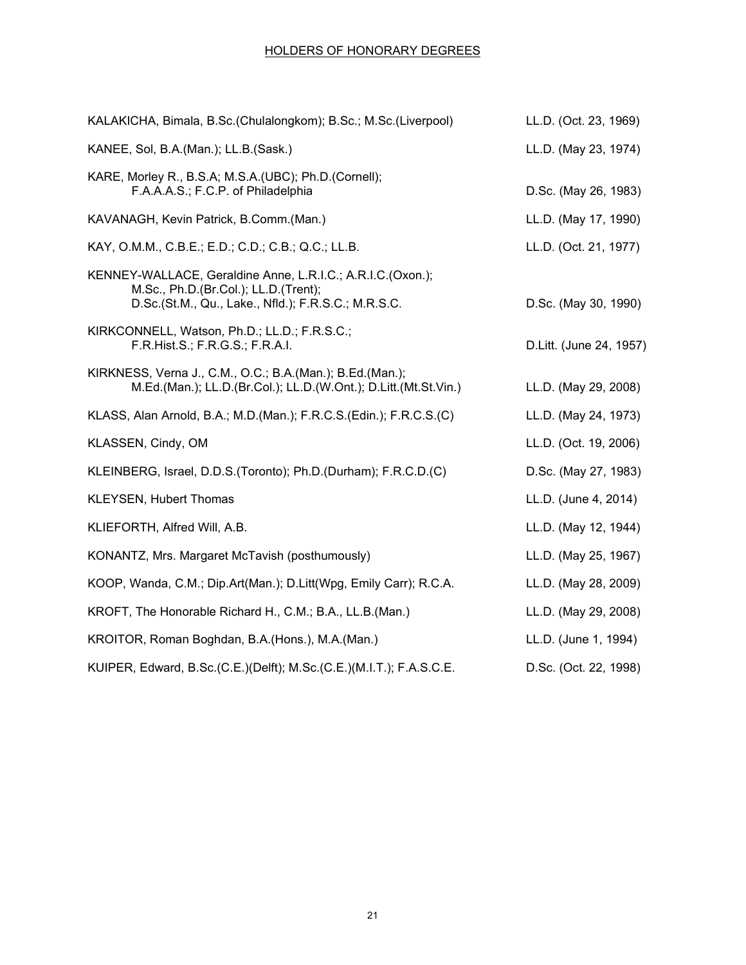| KALAKICHA, Bimala, B.Sc.(Chulalongkom); B.Sc.; M.Sc.(Liverpool)                                                                                           | LL.D. (Oct. 23, 1969)   |
|-----------------------------------------------------------------------------------------------------------------------------------------------------------|-------------------------|
| KANEE, Sol, B.A.(Man.); LL.B.(Sask.)                                                                                                                      | LL.D. (May 23, 1974)    |
| KARE, Morley R., B.S.A; M.S.A.(UBC); Ph.D.(Cornell);<br>F.A.A.A.S.; F.C.P. of Philadelphia                                                                | D.Sc. (May 26, 1983)    |
| KAVANAGH, Kevin Patrick, B.Comm.(Man.)                                                                                                                    | LL.D. (May 17, 1990)    |
| KAY, O.M.M., C.B.E.; E.D.; C.D.; C.B.; Q.C.; LL.B.                                                                                                        | LL.D. (Oct. 21, 1977)   |
| KENNEY-WALLACE, Geraldine Anne, L.R.I.C.; A.R.I.C.(Oxon.);<br>M.Sc., Ph.D.(Br.Col.); LL.D.(Trent);<br>D.Sc.(St.M., Qu., Lake., Nfld.); F.R.S.C.; M.R.S.C. | D.Sc. (May 30, 1990)    |
| KIRKCONNELL, Watson, Ph.D.; LL.D.; F.R.S.C.;<br>F.R.Hist.S.; F.R.G.S.; F.R.A.I.                                                                           | D.Litt. (June 24, 1957) |
| KIRKNESS, Verna J., C.M., O.C.; B.A. (Man.); B.Ed. (Man.);<br>M.Ed.(Man.); LL.D.(Br.Col.); LL.D.(W.Ont.); D.Litt.(Mt.St.Vin.)                             | LL.D. (May 29, 2008)    |
| KLASS, Alan Arnold, B.A.; M.D.(Man.); F.R.C.S.(Edin.); F.R.C.S.(C)                                                                                        | LL.D. (May 24, 1973)    |
| KLASSEN, Cindy, OM                                                                                                                                        | LL.D. (Oct. 19, 2006)   |
| KLEINBERG, Israel, D.D.S. (Toronto); Ph.D. (Durham); F.R.C.D. (C)                                                                                         | D.Sc. (May 27, 1983)    |
| <b>KLEYSEN, Hubert Thomas</b>                                                                                                                             | LL.D. (June 4, 2014)    |
| KLIEFORTH, Alfred Will, A.B.                                                                                                                              | LL.D. (May 12, 1944)    |
| KONANTZ, Mrs. Margaret McTavish (posthumously)                                                                                                            | LL.D. (May 25, 1967)    |
| KOOP, Wanda, C.M.; Dip.Art(Man.); D.Litt(Wpg, Emily Carr); R.C.A.                                                                                         | LL.D. (May 28, 2009)    |
| KROFT, The Honorable Richard H., C.M.; B.A., LL.B.(Man.)                                                                                                  | LL.D. (May 29, 2008)    |
| KROITOR, Roman Boghdan, B.A. (Hons.), M.A. (Man.)                                                                                                         | LL.D. (June 1, 1994)    |
| KUIPER, Edward, B.Sc.(C.E.)(Delft); M.Sc.(C.E.)(M.I.T.); F.A.S.C.E.                                                                                       | D.Sc. (Oct. 22, 1998)   |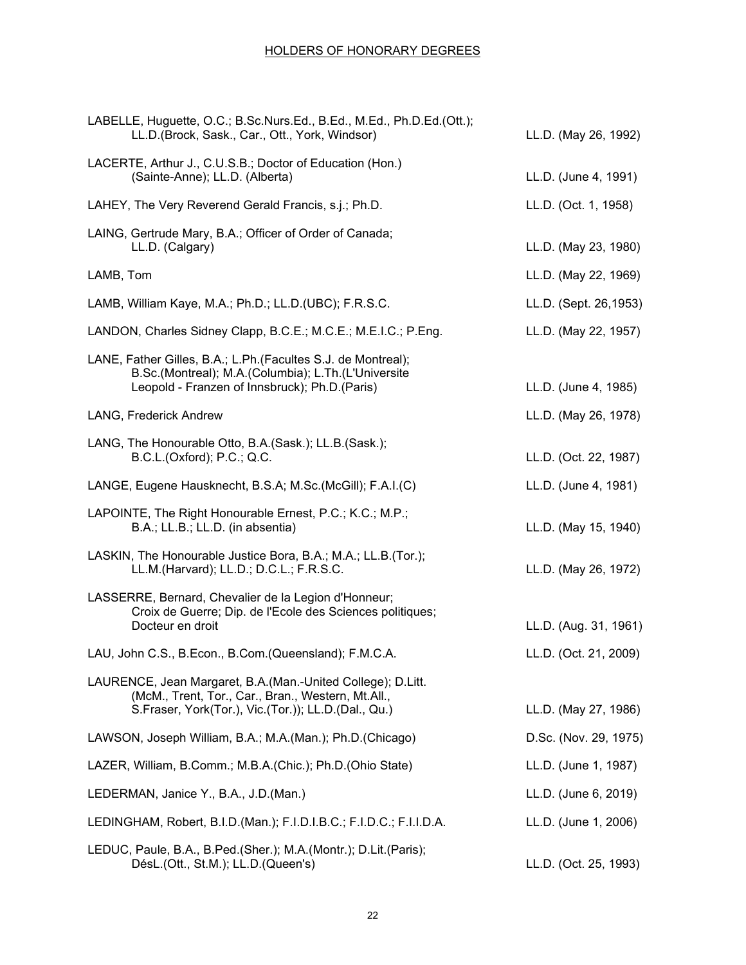| LABELLE, Huguette, O.C.; B.Sc.Nurs.Ed., B.Ed., M.Ed., Ph.D.Ed.(Ott.);<br>LL.D.(Brock, Sask., Car., Ott., York, Windsor)                                                   | LL.D. (May 26, 1992)  |
|---------------------------------------------------------------------------------------------------------------------------------------------------------------------------|-----------------------|
| LACERTE, Arthur J., C.U.S.B.; Doctor of Education (Hon.)<br>(Sainte-Anne); LL.D. (Alberta)                                                                                | LL.D. (June 4, 1991)  |
| LAHEY, The Very Reverend Gerald Francis, s.j.; Ph.D.                                                                                                                      | LL.D. (Oct. 1, 1958)  |
| LAING, Gertrude Mary, B.A.; Officer of Order of Canada;<br>LL.D. (Calgary)                                                                                                | LL.D. (May 23, 1980)  |
| LAMB, Tom                                                                                                                                                                 | LL.D. (May 22, 1969)  |
| LAMB, William Kaye, M.A.; Ph.D.; LL.D.(UBC); F.R.S.C.                                                                                                                     | LL.D. (Sept. 26,1953) |
| LANDON, Charles Sidney Clapp, B.C.E.; M.C.E.; M.E.I.C.; P.Eng.                                                                                                            | LL.D. (May 22, 1957)  |
| LANE, Father Gilles, B.A.; L.Ph. (Facultes S.J. de Montreal);<br>B.Sc.(Montreal); M.A.(Columbia); L.Th.(L'Universite<br>Leopold - Franzen of Innsbruck); Ph.D.(Paris)     | LL.D. (June 4, 1985)  |
| LANG, Frederick Andrew                                                                                                                                                    | LL.D. (May 26, 1978)  |
| LANG, The Honourable Otto, B.A. (Sask.); LL.B. (Sask.);<br>B.C.L.(Oxford); P.C.; Q.C.                                                                                     | LL.D. (Oct. 22, 1987) |
| LANGE, Eugene Hausknecht, B.S.A; M.Sc.(McGill); F.A.I.(C)                                                                                                                 | LL.D. (June 4, 1981)  |
| LAPOINTE, The Right Honourable Ernest, P.C.; K.C.; M.P.;<br>B.A.; LL.B.; LL.D. (in absentia)                                                                              | LL.D. (May 15, 1940)  |
| LASKIN, The Honourable Justice Bora, B.A.; M.A.; LL.B.(Tor.);<br>LL.M.(Harvard); LL.D.; D.C.L.; F.R.S.C.                                                                  | LL.D. (May 26, 1972)  |
| LASSERRE, Bernard, Chevalier de la Legion d'Honneur;<br>Croix de Guerre; Dip. de l'Ecole des Sciences politiques;<br>Docteur en droit                                     | LL.D. (Aug. 31, 1961) |
| LAU, John C.S., B.Econ., B.Com. (Queensland); F.M.C.A.                                                                                                                    | LL.D. (Oct. 21, 2009) |
| LAURENCE, Jean Margaret, B.A. (Man.-United College); D.Litt.<br>(McM., Trent, Tor., Car., Bran., Western, Mt.All.,<br>S.Fraser, York(Tor.), Vic.(Tor.)); LL.D.(Dal., Qu.) | LL.D. (May 27, 1986)  |
| LAWSON, Joseph William, B.A.; M.A.(Man.); Ph.D.(Chicago)                                                                                                                  | D.Sc. (Nov. 29, 1975) |
| LAZER, William, B.Comm.; M.B.A.(Chic.); Ph.D.(Ohio State)                                                                                                                 | LL.D. (June 1, 1987)  |
| LEDERMAN, Janice Y., B.A., J.D. (Man.)                                                                                                                                    | LL.D. (June 6, 2019)  |
| LEDINGHAM, Robert, B.I.D. (Man.); F.I.D.I.B.C.; F.I.D.C.; F.I.I.D.A.                                                                                                      | LL.D. (June 1, 2006)  |
| LEDUC, Paule, B.A., B.Ped.(Sher.); M.A.(Montr.); D.Lit.(Paris);<br>DésL.(Ott., St.M.); LL.D.(Queen's)                                                                     | LL.D. (Oct. 25, 1993) |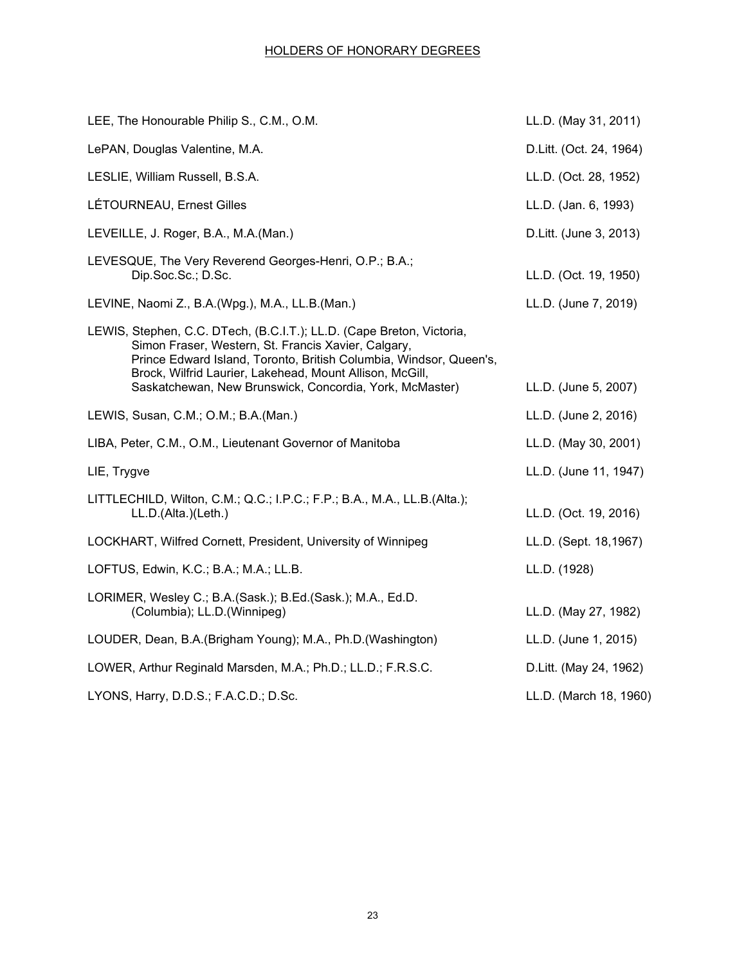| LEE, The Honourable Philip S., C.M., O.M.                                                                                                                                                                                                                                                                                 | LL.D. (May 31, 2011)    |
|---------------------------------------------------------------------------------------------------------------------------------------------------------------------------------------------------------------------------------------------------------------------------------------------------------------------------|-------------------------|
| LePAN, Douglas Valentine, M.A.                                                                                                                                                                                                                                                                                            | D.Litt. (Oct. 24, 1964) |
| LESLIE, William Russell, B.S.A.                                                                                                                                                                                                                                                                                           | LL.D. (Oct. 28, 1952)   |
| LÉTOURNEAU, Ernest Gilles                                                                                                                                                                                                                                                                                                 | LL.D. (Jan. 6, 1993)    |
| LEVEILLE, J. Roger, B.A., M.A.(Man.)                                                                                                                                                                                                                                                                                      | D.Litt. (June 3, 2013)  |
| LEVESQUE, The Very Reverend Georges-Henri, O.P.; B.A.;<br>Dip.Soc.Sc.; D.Sc.                                                                                                                                                                                                                                              | LL.D. (Oct. 19, 1950)   |
| LEVINE, Naomi Z., B.A.(Wpg.), M.A., LL.B.(Man.)                                                                                                                                                                                                                                                                           | LL.D. (June 7, 2019)    |
| LEWIS, Stephen, C.C. DTech, (B.C.I.T.); LL.D. (Cape Breton, Victoria,<br>Simon Fraser, Western, St. Francis Xavier, Calgary,<br>Prince Edward Island, Toronto, British Columbia, Windsor, Queen's,<br>Brock, Wilfrid Laurier, Lakehead, Mount Allison, McGill,<br>Saskatchewan, New Brunswick, Concordia, York, McMaster) | LL.D. (June 5, 2007)    |
| LEWIS, Susan, C.M.; O.M.; B.A.(Man.)                                                                                                                                                                                                                                                                                      | LL.D. (June 2, 2016)    |
| LIBA, Peter, C.M., O.M., Lieutenant Governor of Manitoba                                                                                                                                                                                                                                                                  | LL.D. (May 30, 2001)    |
| LIE, Trygve                                                                                                                                                                                                                                                                                                               | LL.D. (June 11, 1947)   |
| LITTLECHILD, Wilton, C.M.; Q.C.; I.P.C.; F.P.; B.A., M.A., LL.B.(Alta.);<br>LL.D.(Alta.)(Leth.)                                                                                                                                                                                                                           | LL.D. (Oct. 19, 2016)   |
| LOCKHART, Wilfred Cornett, President, University of Winnipeg                                                                                                                                                                                                                                                              | LL.D. (Sept. 18,1967)   |
| LOFTUS, Edwin, K.C.; B.A.; M.A.; LL.B.                                                                                                                                                                                                                                                                                    | LL.D. (1928)            |
| LORIMER, Wesley C.; B.A.(Sask.); B.Ed.(Sask.); M.A., Ed.D.<br>(Columbia); LL.D.(Winnipeg)                                                                                                                                                                                                                                 | LL.D. (May 27, 1982)    |
| LOUDER, Dean, B.A. (Brigham Young); M.A., Ph.D. (Washington)                                                                                                                                                                                                                                                              | LL.D. (June 1, 2015)    |
| LOWER, Arthur Reginald Marsden, M.A.; Ph.D.; LL.D.; F.R.S.C.                                                                                                                                                                                                                                                              | D.Litt. (May 24, 1962)  |
| LYONS, Harry, D.D.S.; F.A.C.D.; D.Sc.                                                                                                                                                                                                                                                                                     | LL.D. (March 18, 1960)  |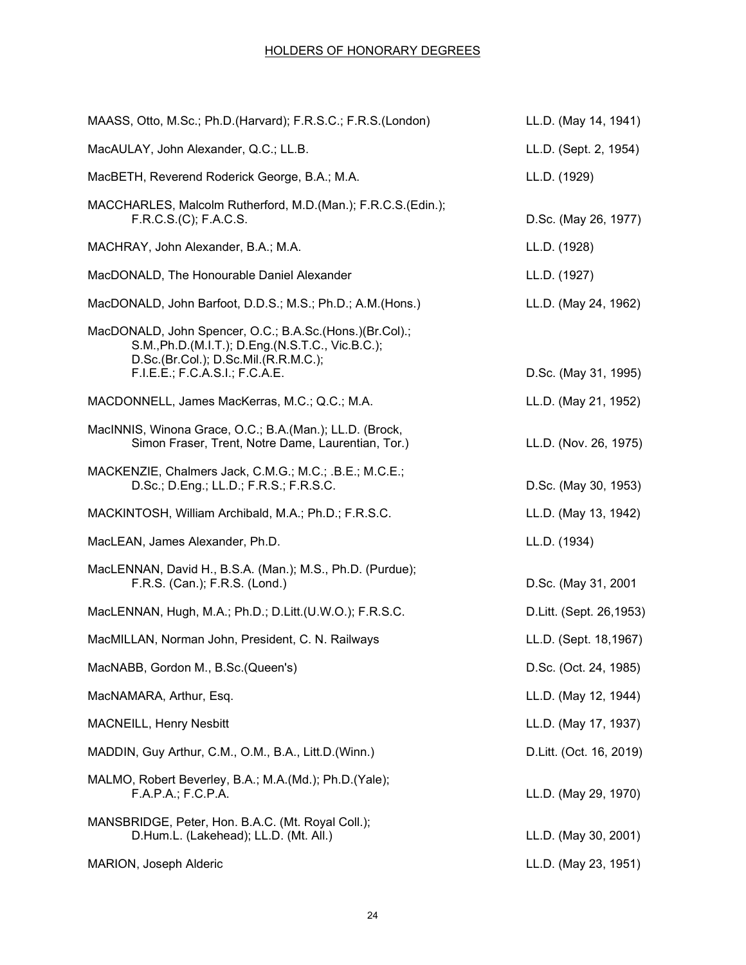| MAASS, Otto, M.Sc.; Ph.D. (Harvard); F.R.S.C.; F.R.S. (London)                                                                                                                        | LL.D. (May 14, 1941)    |
|---------------------------------------------------------------------------------------------------------------------------------------------------------------------------------------|-------------------------|
| MacAULAY, John Alexander, Q.C.; LL.B.                                                                                                                                                 | LL.D. (Sept. 2, 1954)   |
| MacBETH, Reverend Roderick George, B.A.; M.A.                                                                                                                                         | LL.D. (1929)            |
| MACCHARLES, Malcolm Rutherford, M.D.(Man.); F.R.C.S.(Edin.);<br>F.R.C.S.(C); F.A.C.S.                                                                                                 | D.Sc. (May 26, 1977)    |
| MACHRAY, John Alexander, B.A.; M.A.                                                                                                                                                   | LL.D. (1928)            |
| MacDONALD, The Honourable Daniel Alexander                                                                                                                                            | LL.D. (1927)            |
| MacDONALD, John Barfoot, D.D.S.; M.S.; Ph.D.; A.M. (Hons.)                                                                                                                            | LL.D. (May 24, 1962)    |
| MacDONALD, John Spencer, O.C.; B.A.Sc.(Hons.)(Br.Col).;<br>S.M., Ph.D.(M.I.T.); D.Eng.(N.S.T.C., Vic.B.C.);<br>D.Sc.(Br.Col.); D.Sc.Mil.(R.R.M.C.);<br>F.I.E.E.; F.C.A.S.I.; F.C.A.E. | D.Sc. (May 31, 1995)    |
| MACDONNELL, James MacKerras, M.C.; Q.C.; M.A.                                                                                                                                         | LL.D. (May 21, 1952)    |
| MacINNIS, Winona Grace, O.C.; B.A.(Man.); LL.D. (Brock,<br>Simon Fraser, Trent, Notre Dame, Laurentian, Tor.)                                                                         | LL.D. (Nov. 26, 1975)   |
| MACKENZIE, Chalmers Jack, C.M.G.; M.C.; .B.E.; M.C.E.;<br>D.Sc.; D.Eng.; LL.D.; F.R.S.; F.R.S.C.                                                                                      | D.Sc. (May 30, 1953)    |
| MACKINTOSH, William Archibald, M.A.; Ph.D.; F.R.S.C.                                                                                                                                  | LL.D. (May 13, 1942)    |
| MacLEAN, James Alexander, Ph.D.                                                                                                                                                       | LL.D. (1934)            |
| MacLENNAN, David H., B.S.A. (Man.); M.S., Ph.D. (Purdue);<br>F.R.S. (Can.); F.R.S. (Lond.)                                                                                            | D.Sc. (May 31, 2001     |
| MacLENNAN, Hugh, M.A.; Ph.D.; D.Litt.(U.W.O.); F.R.S.C.                                                                                                                               | D.Litt. (Sept. 26,1953) |
| MacMILLAN, Norman John, President, C. N. Railways                                                                                                                                     | LL.D. (Sept. 18,1967)   |
| MacNABB, Gordon M., B.Sc. (Queen's)                                                                                                                                                   | D.Sc. (Oct. 24, 1985)   |
| MacNAMARA, Arthur, Esq.                                                                                                                                                               | LL.D. (May 12, 1944)    |
| <b>MACNEILL, Henry Nesbitt</b>                                                                                                                                                        | LL.D. (May 17, 1937)    |
| MADDIN, Guy Arthur, C.M., O.M., B.A., Litt.D. (Winn.)                                                                                                                                 | D.Litt. (Oct. 16, 2019) |
| MALMO, Robert Beverley, B.A.; M.A.(Md.); Ph.D.(Yale);<br>F.A.P.A.; F.C.P.A.                                                                                                           | LL.D. (May 29, 1970)    |
| MANSBRIDGE, Peter, Hon. B.A.C. (Mt. Royal Coll.);<br>D.Hum.L. (Lakehead); LL.D. (Mt. All.)                                                                                            | LL.D. (May 30, 2001)    |
| MARION, Joseph Alderic                                                                                                                                                                | LL.D. (May 23, 1951)    |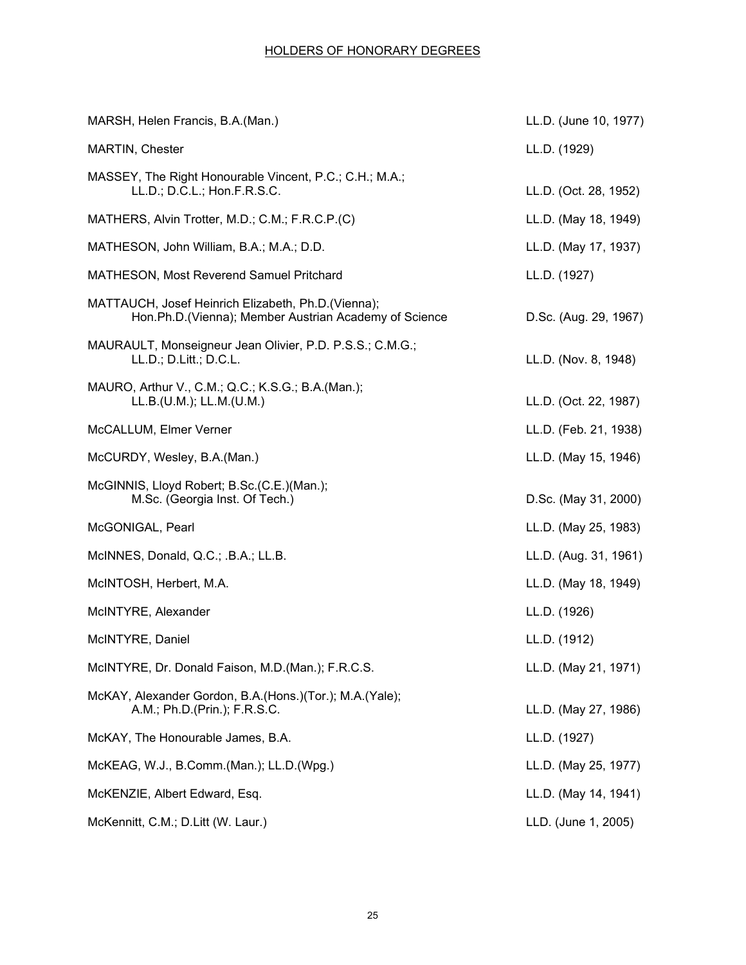| MARSH, Helen Francis, B.A.(Man.)                                                                             | LL.D. (June 10, 1977) |
|--------------------------------------------------------------------------------------------------------------|-----------------------|
| <b>MARTIN, Chester</b>                                                                                       | LL.D. (1929)          |
| MASSEY, The Right Honourable Vincent, P.C.; C.H.; M.A.;<br>LL.D.; D.C.L.; Hon.F.R.S.C.                       | LL.D. (Oct. 28, 1952) |
| MATHERS, Alvin Trotter, M.D.; C.M.; F.R.C.P.(C)                                                              | LL.D. (May 18, 1949)  |
| MATHESON, John William, B.A.; M.A.; D.D.                                                                     | LL.D. (May 17, 1937)  |
| MATHESON, Most Reverend Samuel Pritchard                                                                     | LL.D. (1927)          |
| MATTAUCH, Josef Heinrich Elizabeth, Ph.D.(Vienna);<br>Hon.Ph.D. (Vienna); Member Austrian Academy of Science | D.Sc. (Aug. 29, 1967) |
| MAURAULT, Monseigneur Jean Olivier, P.D. P.S.S.; C.M.G.;<br>LL.D.; D.Litt.; D.C.L.                           | LL.D. (Nov. 8, 1948)  |
| MAURO, Arthur V., C.M.; Q.C.; K.S.G.; B.A.(Man.);<br>LL.B.(U.M.); LL.M.(U.M.)                                | LL.D. (Oct. 22, 1987) |
| McCALLUM, Elmer Verner                                                                                       | LL.D. (Feb. 21, 1938) |
| McCURDY, Wesley, B.A.(Man.)                                                                                  | LL.D. (May 15, 1946)  |
| McGINNIS, Lloyd Robert; B.Sc.(C.E.)(Man.);<br>M.Sc. (Georgia Inst. Of Tech.)                                 | D.Sc. (May 31, 2000)  |
| McGONIGAL, Pearl                                                                                             | LL.D. (May 25, 1983)  |
| McINNES, Donald, Q.C.; .B.A.; LL.B.                                                                          | LL.D. (Aug. 31, 1961) |
| McINTOSH, Herbert, M.A.                                                                                      | LL.D. (May 18, 1949)  |
| McINTYRE, Alexander                                                                                          | LL.D. (1926)          |
| McINTYRE, Daniel                                                                                             | LL.D. (1912)          |
| McINTYRE, Dr. Donald Faison, M.D. (Man.); F.R.C.S.                                                           | LL.D. (May 21, 1971)  |
| McKAY, Alexander Gordon, B.A.(Hons.)(Tor.); M.A.(Yale);<br>A.M.; Ph.D.(Prin.); F.R.S.C.                      | LL.D. (May 27, 1986)  |
| McKAY, The Honourable James, B.A.                                                                            | LL.D. (1927)          |
| McKEAG, W.J., B.Comm.(Man.); LL.D.(Wpg.)                                                                     | LL.D. (May 25, 1977)  |
| McKENZIE, Albert Edward, Esq.                                                                                | LL.D. (May 14, 1941)  |
| McKennitt, C.M.; D.Litt (W. Laur.)                                                                           | LLD. (June 1, 2005)   |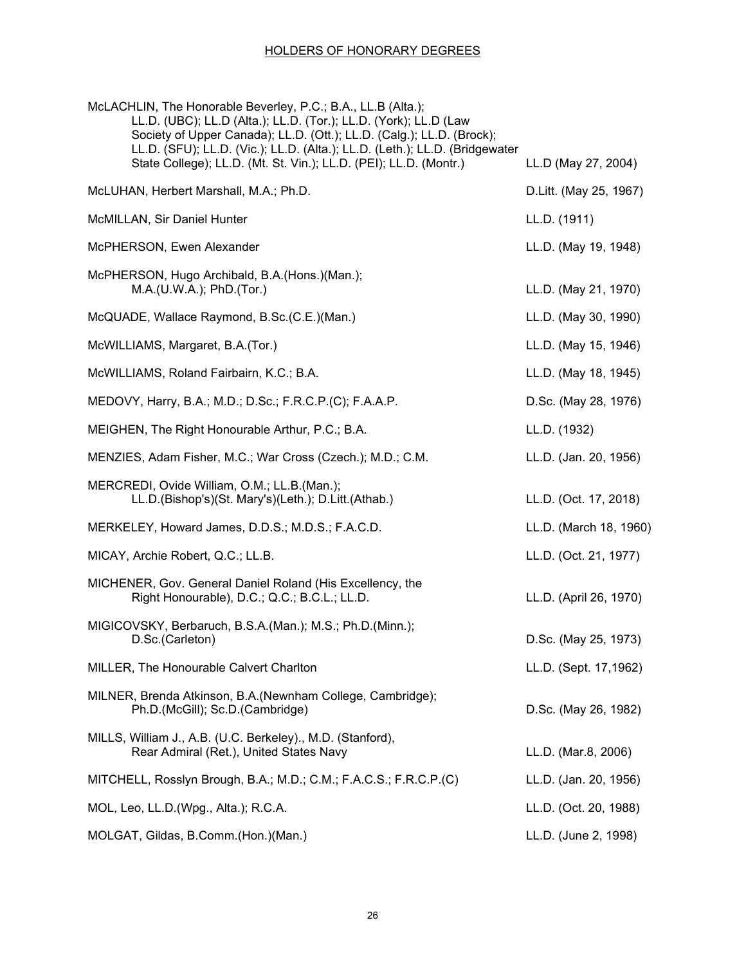| McLACHLIN, The Honorable Beverley, P.C.; B.A., LL.B (Alta.);<br>LL.D. (UBC); LL.D (Alta.); LL.D. (Tor.); LL.D. (York); LL.D (Law<br>Society of Upper Canada); LL.D. (Ott.); LL.D. (Calg.); LL.D. (Brock);<br>LL.D. (SFU); LL.D. (Vic.); LL.D. (Alta.); LL.D. (Leth.); LL.D. (Bridgewater |                        |
|------------------------------------------------------------------------------------------------------------------------------------------------------------------------------------------------------------------------------------------------------------------------------------------|------------------------|
| State College); LL.D. (Mt. St. Vin.); LL.D. (PEI); LL.D. (Montr.)                                                                                                                                                                                                                        | LL.D (May 27, 2004)    |
| McLUHAN, Herbert Marshall, M.A.; Ph.D.                                                                                                                                                                                                                                                   | D.Litt. (May 25, 1967) |
| McMILLAN, Sir Daniel Hunter                                                                                                                                                                                                                                                              | LL.D. (1911)           |
| McPHERSON, Ewen Alexander                                                                                                                                                                                                                                                                | LL.D. (May 19, 1948)   |
| McPHERSON, Hugo Archibald, B.A.(Hons.)(Man.);<br>M.A.(U.W.A.); PhD.(Tor.)                                                                                                                                                                                                                | LL.D. (May 21, 1970)   |
| McQUADE, Wallace Raymond, B.Sc.(C.E.)(Man.)                                                                                                                                                                                                                                              | LL.D. (May 30, 1990)   |
| McWILLIAMS, Margaret, B.A.(Tor.)                                                                                                                                                                                                                                                         | LL.D. (May 15, 1946)   |
| McWILLIAMS, Roland Fairbairn, K.C.; B.A.                                                                                                                                                                                                                                                 | LL.D. (May 18, 1945)   |
| MEDOVY, Harry, B.A.; M.D.; D.Sc.; F.R.C.P.(C); F.A.A.P.                                                                                                                                                                                                                                  | D.Sc. (May 28, 1976)   |
| MEIGHEN, The Right Honourable Arthur, P.C.; B.A.                                                                                                                                                                                                                                         | LL.D. (1932)           |
| MENZIES, Adam Fisher, M.C.; War Cross (Czech.); M.D.; C.M.                                                                                                                                                                                                                               | LL.D. (Jan. 20, 1956)  |
| MERCREDI, Ovide William, O.M.; LL.B.(Man.);<br>LL.D.(Bishop's)(St. Mary's)(Leth.); D.Litt.(Athab.)                                                                                                                                                                                       | LL.D. (Oct. 17, 2018)  |
| MERKELEY, Howard James, D.D.S.; M.D.S.; F.A.C.D.                                                                                                                                                                                                                                         | LL.D. (March 18, 1960) |
| MICAY, Archie Robert, Q.C.; LL.B.                                                                                                                                                                                                                                                        | LL.D. (Oct. 21, 1977)  |
| MICHENER, Gov. General Daniel Roland (His Excellency, the<br>Right Honourable), D.C.; Q.C.; B.C.L.; LL.D.                                                                                                                                                                                | LL.D. (April 26, 1970) |
| MIGICOVSKY, Berbaruch, B.S.A.(Man.); M.S.; Ph.D.(Minn.);<br>D.Sc.(Carleton)                                                                                                                                                                                                              | D.Sc. (May 25, 1973)   |
| MILLER, The Honourable Calvert Charlton                                                                                                                                                                                                                                                  | LL.D. (Sept. 17,1962)  |
| MILNER, Brenda Atkinson, B.A.(Newnham College, Cambridge);<br>Ph.D.(McGill); Sc.D.(Cambridge)                                                                                                                                                                                            | D.Sc. (May 26, 1982)   |
| MILLS, William J., A.B. (U.C. Berkeley)., M.D. (Stanford),<br>Rear Admiral (Ret.), United States Navy                                                                                                                                                                                    | LL.D. (Mar.8, 2006)    |
| MITCHELL, Rosslyn Brough, B.A.; M.D.; C.M.; F.A.C.S.; F.R.C.P.(C)                                                                                                                                                                                                                        | LL.D. (Jan. 20, 1956)  |
| MOL, Leo, LL.D. (Wpg., Alta.); R.C.A.                                                                                                                                                                                                                                                    | LL.D. (Oct. 20, 1988)  |
| MOLGAT, Gildas, B.Comm.(Hon.)(Man.)                                                                                                                                                                                                                                                      | LL.D. (June 2, 1998)   |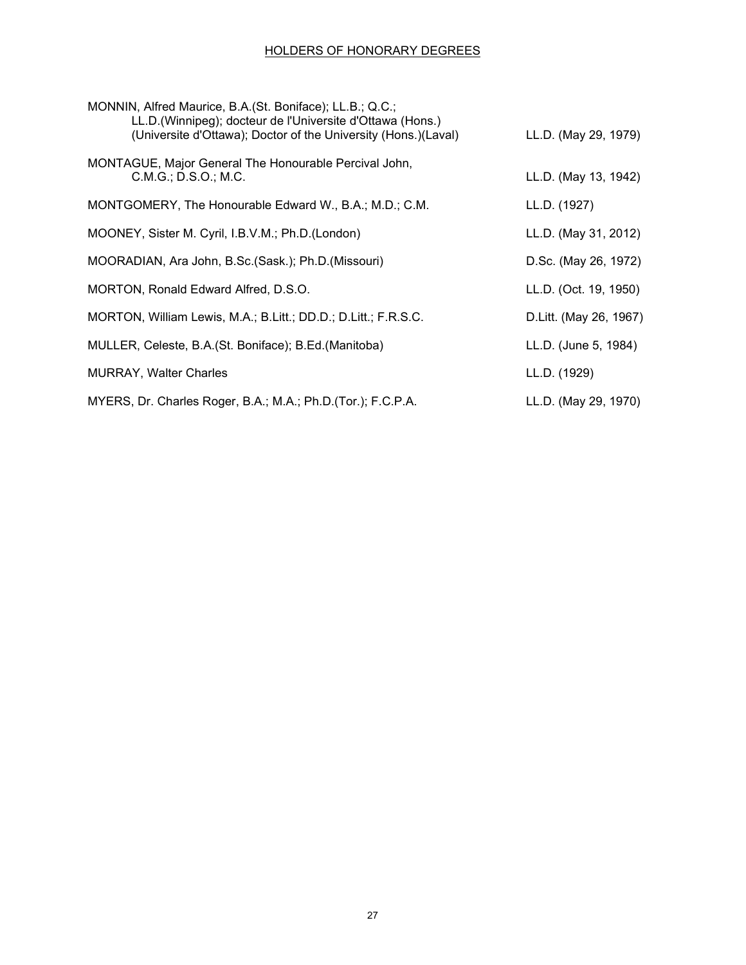| MONNIN, Alfred Maurice, B.A. (St. Boniface); LL.B.; Q.C.;<br>LL.D. (Winnipeg); docteur de l'Universite d'Ottawa (Hons.)<br>(Universite d'Ottawa); Doctor of the University (Hons.)(Laval) | LL.D. (May 29, 1979)    |
|-------------------------------------------------------------------------------------------------------------------------------------------------------------------------------------------|-------------------------|
| MONTAGUE, Major General The Honourable Percival John,<br>C.M.G.; D.S.O.; M.C.                                                                                                             | LL.D. (May 13, 1942)    |
| MONTGOMERY, The Honourable Edward W., B.A.; M.D.; C.M.                                                                                                                                    | LL.D. (1927)            |
| MOONEY, Sister M. Cyril, I.B.V.M.; Ph.D.(London)                                                                                                                                          | LL.D. (May 31, 2012)    |
| MOORADIAN, Ara John, B.Sc. (Sask.); Ph.D. (Missouri)                                                                                                                                      | D.Sc. (May 26, 1972)    |
| MORTON, Ronald Edward Alfred, D.S.O.                                                                                                                                                      | LL.D. (Oct. 19, 1950)   |
| MORTON, William Lewis, M.A.; B.Litt.; DD.D.; D.Litt.; F.R.S.C.                                                                                                                            | D. Litt. (May 26, 1967) |
| MULLER, Celeste, B.A. (St. Boniface); B.Ed. (Manitoba)                                                                                                                                    | LL.D. (June 5, 1984)    |
| <b>MURRAY, Walter Charles</b>                                                                                                                                                             | LL.D. (1929)            |
| MYERS, Dr. Charles Roger, B.A.; M.A.; Ph.D. (Tor.); F.C.P.A.                                                                                                                              | LL.D. (May 29, 1970)    |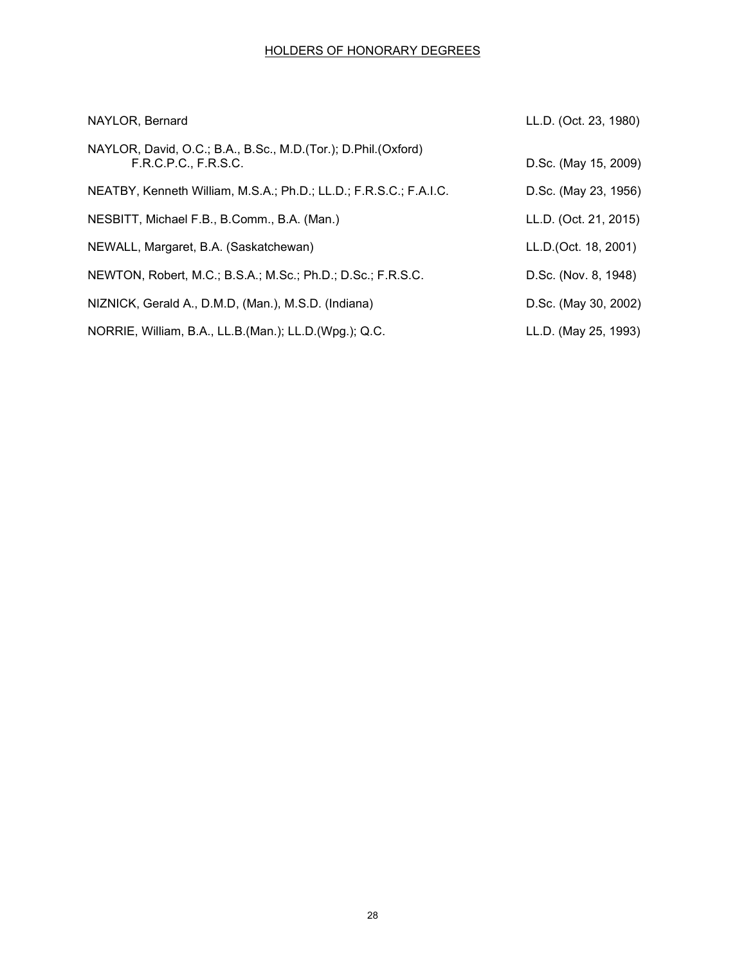| NAYLOR, Bernard                                                                         | LL.D. (Oct. 23, 1980) |
|-----------------------------------------------------------------------------------------|-----------------------|
| NAYLOR, David, O.C.; B.A., B.Sc., M.D. (Tor.); D.Phil. (Oxford)<br>F.R.C.P.C., F.R.S.C. | D.Sc. (May 15, 2009)  |
| NEATBY, Kenneth William, M.S.A.; Ph.D.; LL.D.; F.R.S.C.; F.A.I.C.                       | D.Sc. (May 23, 1956)  |
| NESBITT, Michael F.B., B.Comm., B.A. (Man.)                                             | LL.D. (Oct. 21, 2015) |
| NEWALL, Margaret, B.A. (Saskatchewan)                                                   | LL.D.(Oct. 18, 2001)  |
| NEWTON, Robert, M.C.; B.S.A.; M.Sc.; Ph.D.; D.Sc.; F.R.S.C.                             | D.Sc. (Nov. 8, 1948)  |
| NIZNICK, Gerald A., D.M.D, (Man.), M.S.D. (Indiana)                                     | D.Sc. (May 30, 2002)  |
| NORRIE, William, B.A., LL.B. (Man.); LL.D. (Wpg.); Q.C.                                 | LL.D. (May 25, 1993)  |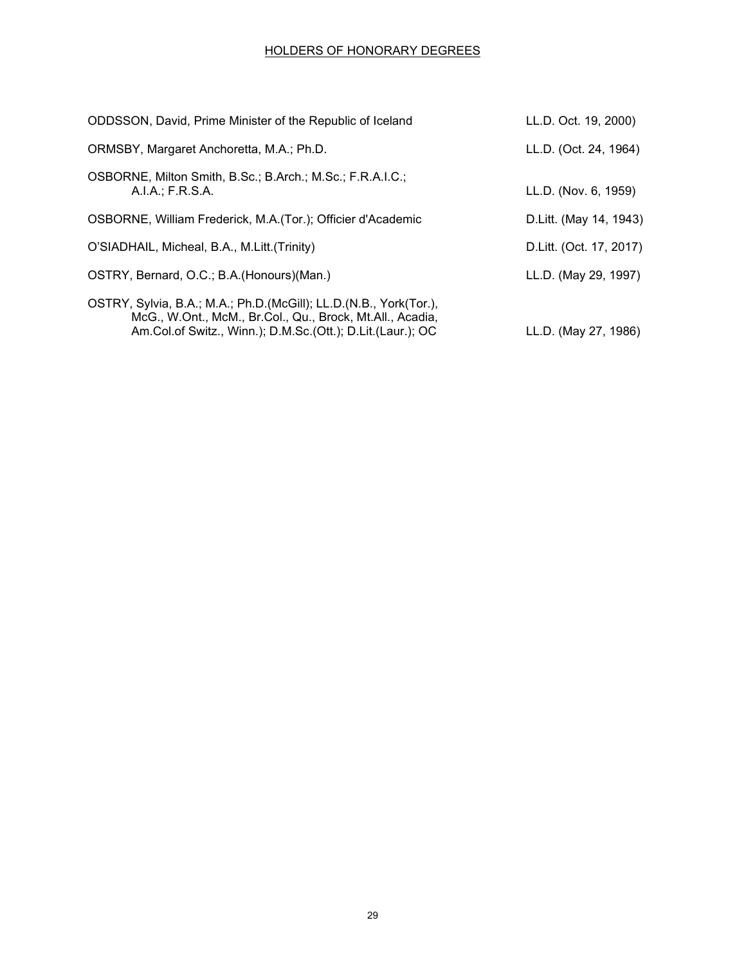| ODDSSON, David, Prime Minister of the Republic of Iceland                                                                                                                                       | LL.D. Oct. 19, 2000)     |
|-------------------------------------------------------------------------------------------------------------------------------------------------------------------------------------------------|--------------------------|
| ORMSBY, Margaret Anchoretta, M.A.; Ph.D.                                                                                                                                                        | LL.D. (Oct. 24, 1964)    |
| OSBORNE, Milton Smith, B.Sc.; B.Arch.; M.Sc.; F.R.A.I.C.;<br>A.I.A.; F.R.S.A.                                                                                                                   | LL.D. (Nov. 6, 1959)     |
| OSBORNE, William Frederick, M.A. (Tor.); Officier d'Academic                                                                                                                                    | D. Litt. (May 14, 1943)  |
| O'SIADHAIL, Micheal, B.A., M.Litt. (Trinity)                                                                                                                                                    | D. Litt. (Oct. 17, 2017) |
| OSTRY, Bernard, O.C.; B.A. (Honours) (Man.)                                                                                                                                                     | LL.D. (May 29, 1997)     |
| OSTRY, Sylvia, B.A.; M.A.; Ph.D. (McGill); LL.D. (N.B., York (Tor.),<br>McG., W.Ont., McM., Br.Col., Qu., Brock, Mt.All., Acadia,<br>Am.Col.of Switz., Winn.); D.M.Sc.(Ott.); D.Lit.(Laur.); OC | LL.D. (May 27, 1986)     |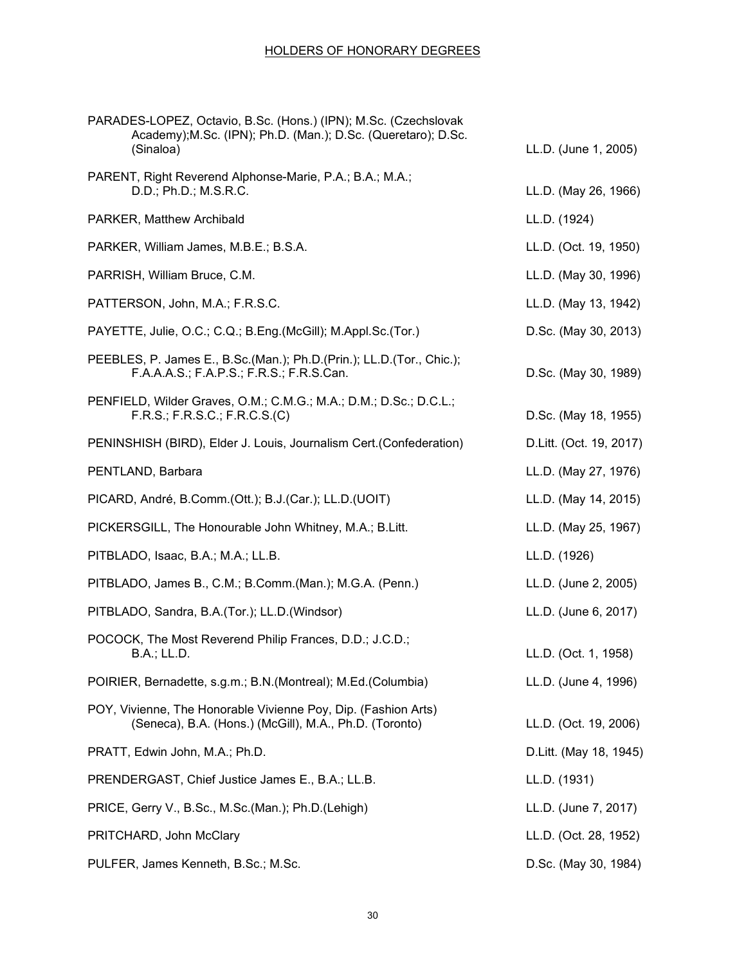| PARADES-LOPEZ, Octavio, B.Sc. (Hons.) (IPN); M.Sc. (Czechslovak<br>Academy); M.Sc. (IPN); Ph.D. (Man.); D.Sc. (Queretaro); D.Sc.<br>(Sinaloa) | LL.D. (June 1, 2005)    |
|-----------------------------------------------------------------------------------------------------------------------------------------------|-------------------------|
| PARENT, Right Reverend Alphonse-Marie, P.A.; B.A.; M.A.;<br>D.D.; Ph.D.; M.S.R.C.                                                             | LL.D. (May 26, 1966)    |
| PARKER, Matthew Archibald                                                                                                                     | LL.D. (1924)            |
| PARKER, William James, M.B.E.; B.S.A.                                                                                                         | LL.D. (Oct. 19, 1950)   |
| PARRISH, William Bruce, C.M.                                                                                                                  | LL.D. (May 30, 1996)    |
| PATTERSON, John, M.A.; F.R.S.C.                                                                                                               | LL.D. (May 13, 1942)    |
| PAYETTE, Julie, O.C.; C.Q.; B.Eng.(McGill); M.Appl.Sc.(Tor.)                                                                                  | D.Sc. (May 30, 2013)    |
| PEEBLES, P. James E., B.Sc.(Man.); Ph.D.(Prin.); LL.D.(Tor., Chic.);<br>F.A.A.A.S.; F.A.P.S.; F.R.S.; F.R.S.Can.                              | D.Sc. (May 30, 1989)    |
| PENFIELD, Wilder Graves, O.M.; C.M.G.; M.A.; D.M.; D.Sc.; D.C.L.;<br>F.R.S.; F.R.S.C.; F.R.C.S.(C)                                            | D.Sc. (May 18, 1955)    |
| PENINSHISH (BIRD), Elder J. Louis, Journalism Cert. (Confederation)                                                                           | D.Litt. (Oct. 19, 2017) |
| PENTLAND, Barbara                                                                                                                             | LL.D. (May 27, 1976)    |
| PICARD, André, B.Comm.(Ott.); B.J.(Car.); LL.D.(UOIT)                                                                                         | LL.D. (May 14, 2015)    |
| PICKERSGILL, The Honourable John Whitney, M.A.; B.Litt.                                                                                       | LL.D. (May 25, 1967)    |
| PITBLADO, Isaac, B.A.; M.A.; LL.B.                                                                                                            | LL.D. (1926)            |
| PITBLADO, James B., C.M.; B.Comm.(Man.); M.G.A. (Penn.)                                                                                       | LL.D. (June 2, 2005)    |
| PITBLADO, Sandra, B.A.(Tor.); LL.D.(Windsor)                                                                                                  | LL.D. (June 6, 2017)    |
| POCOCK, The Most Reverend Philip Frances, D.D.; J.C.D.;<br><b>B.A.; LL.D.</b>                                                                 | LL.D. (Oct. 1, 1958)    |
| POIRIER, Bernadette, s.g.m.; B.N. (Montreal); M.Ed. (Columbia)                                                                                | LL.D. (June 4, 1996)    |
| POY, Vivienne, The Honorable Vivienne Poy, Dip. (Fashion Arts)<br>(Seneca), B.A. (Hons.) (McGill), M.A., Ph.D. (Toronto)                      | LL.D. (Oct. 19, 2006)   |
| PRATT, Edwin John, M.A.; Ph.D.                                                                                                                | D. Litt. (May 18, 1945) |
| PRENDERGAST, Chief Justice James E., B.A.; LL.B.                                                                                              | LL.D. (1931)            |
| PRICE, Gerry V., B.Sc., M.Sc.(Man.); Ph.D.(Lehigh)                                                                                            | LL.D. (June 7, 2017)    |
| PRITCHARD, John McClary                                                                                                                       | LL.D. (Oct. 28, 1952)   |
| PULFER, James Kenneth, B.Sc.; M.Sc.                                                                                                           | D.Sc. (May 30, 1984)    |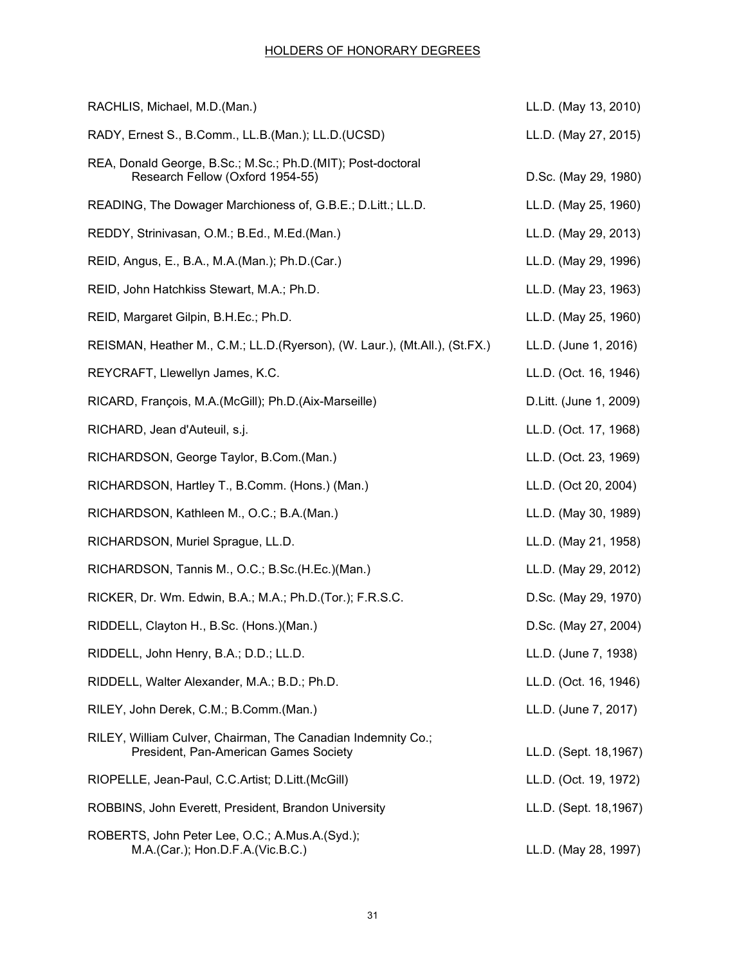| RACHLIS, Michael, M.D.(Man.)                                                                          | LL.D. (May 13, 2010)   |
|-------------------------------------------------------------------------------------------------------|------------------------|
| RADY, Ernest S., B.Comm., LL.B.(Man.); LL.D.(UCSD)                                                    | LL.D. (May 27, 2015)   |
| REA, Donald George, B.Sc.; M.Sc.; Ph.D.(MIT); Post-doctoral<br>Research Fellow (Oxford 1954-55)       | D.Sc. (May 29, 1980)   |
| READING, The Dowager Marchioness of, G.B.E.; D.Litt.; LL.D.                                           | LL.D. (May 25, 1960)   |
| REDDY, Strinivasan, O.M.; B.Ed., M.Ed.(Man.)                                                          | LL.D. (May 29, 2013)   |
| REID, Angus, E., B.A., M.A. (Man.); Ph.D. (Car.)                                                      | LL.D. (May 29, 1996)   |
| REID, John Hatchkiss Stewart, M.A.; Ph.D.                                                             | LL.D. (May 23, 1963)   |
| REID, Margaret Gilpin, B.H.Ec.; Ph.D.                                                                 | LL.D. (May 25, 1960)   |
| REISMAN, Heather M., C.M.; LL.D.(Ryerson), (W. Laur.), (Mt.All.), (St.FX.)                            | LL.D. (June 1, 2016)   |
| REYCRAFT, Llewellyn James, K.C.                                                                       | LL.D. (Oct. 16, 1946)  |
| RICARD, François, M.A. (McGill); Ph.D. (Aix-Marseille)                                                | D.Litt. (June 1, 2009) |
| RICHARD, Jean d'Auteuil, s.j.                                                                         | LL.D. (Oct. 17, 1968)  |
| RICHARDSON, George Taylor, B.Com.(Man.)                                                               | LL.D. (Oct. 23, 1969)  |
| RICHARDSON, Hartley T., B.Comm. (Hons.) (Man.)                                                        | LL.D. (Oct 20, 2004)   |
| RICHARDSON, Kathleen M., O.C.; B.A.(Man.)                                                             | LL.D. (May 30, 1989)   |
| RICHARDSON, Muriel Sprague, LL.D.                                                                     | LL.D. (May 21, 1958)   |
| RICHARDSON, Tannis M., O.C.; B.Sc.(H.Ec.)(Man.)                                                       | LL.D. (May 29, 2012)   |
| RICKER, Dr. Wm. Edwin, B.A.; M.A.; Ph.D.(Tor.); F.R.S.C.                                              | D.Sc. (May 29, 1970)   |
| RIDDELL, Clayton H., B.Sc. (Hons.) (Man.)                                                             | D.Sc. (May 27, 2004)   |
| RIDDELL, John Henry, B.A.; D.D.; LL.D.                                                                | LL.D. (June 7, 1938)   |
| RIDDELL, Walter Alexander, M.A.; B.D.; Ph.D.                                                          | LL.D. (Oct. 16, 1946)  |
| RILEY, John Derek, C.M.; B.Comm.(Man.)                                                                | LL.D. (June 7, 2017)   |
| RILEY, William Culver, Chairman, The Canadian Indemnity Co.;<br>President, Pan-American Games Society | LL.D. (Sept. 18,1967)  |
| RIOPELLE, Jean-Paul, C.C.Artist; D.Litt.(McGill)                                                      | LL.D. (Oct. 19, 1972)  |
| ROBBINS, John Everett, President, Brandon University                                                  | LL.D. (Sept. 18,1967)  |
| ROBERTS, John Peter Lee, O.C.; A.Mus.A.(Syd.);<br>M.A.(Car.); Hon.D.F.A.(Vic.B.C.)                    | LL.D. (May 28, 1997)   |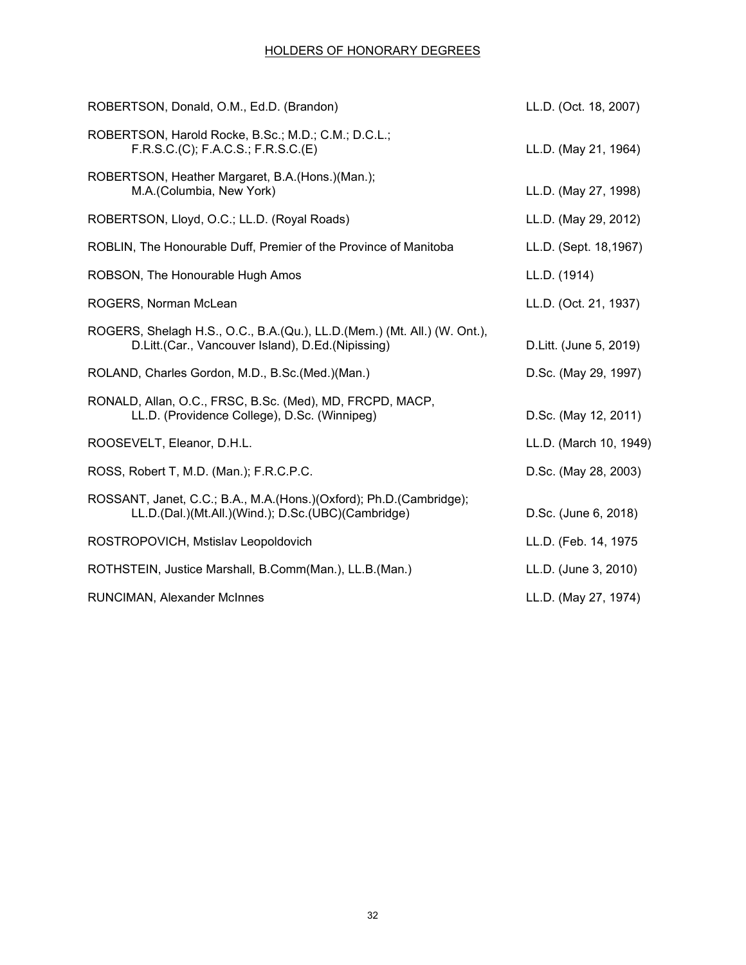| ROBERTSON, Donald, O.M., Ed.D. (Brandon)                                                                                        | LL.D. (Oct. 18, 2007)  |
|---------------------------------------------------------------------------------------------------------------------------------|------------------------|
| ROBERTSON, Harold Rocke, B.Sc.; M.D.; C.M.; D.C.L.;<br>F.R.S.C.(C); F.A.C.S.; F.R.S.C.(E)                                       | LL.D. (May 21, 1964)   |
| ROBERTSON, Heather Margaret, B.A.(Hons.)(Man.);<br>M.A. (Columbia, New York)                                                    | LL.D. (May 27, 1998)   |
| ROBERTSON, Lloyd, O.C.; LL.D. (Royal Roads)                                                                                     | LL.D. (May 29, 2012)   |
| ROBLIN, The Honourable Duff, Premier of the Province of Manitoba                                                                | LL.D. (Sept. 18,1967)  |
| ROBSON, The Honourable Hugh Amos                                                                                                | LL.D. (1914)           |
| ROGERS, Norman McLean                                                                                                           | LL.D. (Oct. 21, 1937)  |
| ROGERS, Shelagh H.S., O.C., B.A. (Qu.), LL.D. (Mem.) (Mt. All.) (W. Ont.),<br>D.Litt.(Car., Vancouver Island), D.Ed.(Nipissing) | D.Litt. (June 5, 2019) |
| ROLAND, Charles Gordon, M.D., B.Sc.(Med.)(Man.)                                                                                 | D.Sc. (May 29, 1997)   |
| RONALD, Allan, O.C., FRSC, B.Sc. (Med), MD, FRCPD, MACP,<br>LL.D. (Providence College), D.Sc. (Winnipeg)                        | D.Sc. (May 12, 2011)   |
| ROOSEVELT, Eleanor, D.H.L.                                                                                                      | LL.D. (March 10, 1949) |
| ROSS, Robert T, M.D. (Man.); F.R.C.P.C.                                                                                         | D.Sc. (May 28, 2003)   |
| ROSSANT, Janet, C.C.; B.A., M.A.(Hons.)(Oxford); Ph.D.(Cambridge);<br>LL.D.(Dal.)(Mt.All.)(Wind.); D.Sc.(UBC)(Cambridge)        | D.Sc. (June 6, 2018)   |
| ROSTROPOVICH, Mstislav Leopoldovich                                                                                             | LL.D. (Feb. 14, 1975   |
| ROTHSTEIN, Justice Marshall, B.Comm(Man.), LL.B.(Man.)                                                                          | LL.D. (June 3, 2010)   |
| RUNCIMAN, Alexander McInnes                                                                                                     | LL.D. (May 27, 1974)   |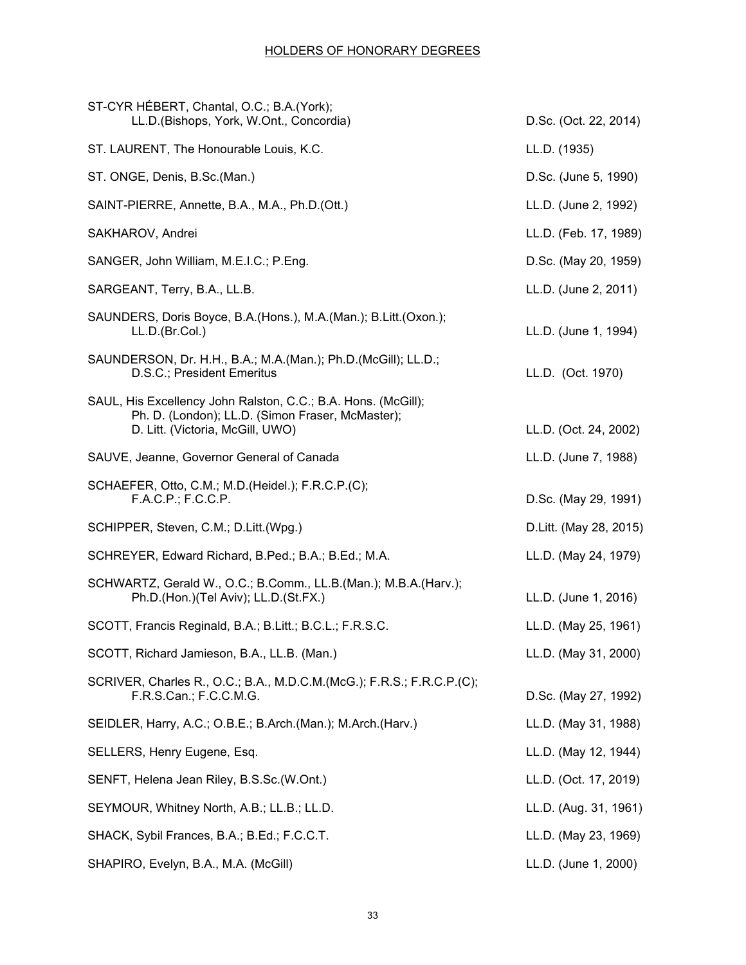| ST-CYR HÉBERT, Chantal, O.C.; B.A. (York);<br>LL.D.(Bishops, York, W.Ont., Concordia)                                                                 | D.Sc. (Oct. 22, 2014)   |
|-------------------------------------------------------------------------------------------------------------------------------------------------------|-------------------------|
| ST. LAURENT, The Honourable Louis, K.C.                                                                                                               | LL.D. (1935)            |
| ST. ONGE, Denis, B.Sc.(Man.)                                                                                                                          | D.Sc. (June 5, 1990)    |
| SAINT-PIERRE, Annette, B.A., M.A., Ph.D. (Ott.)                                                                                                       | LL.D. (June 2, 1992)    |
| SAKHAROV, Andrei                                                                                                                                      | LL.D. (Feb. 17, 1989)   |
| SANGER, John William, M.E.I.C.; P.Eng.                                                                                                                | D.Sc. (May 20, 1959)    |
| SARGEANT, Terry, B.A., LL.B.                                                                                                                          | LL.D. (June 2, 2011)    |
| SAUNDERS, Doris Boyce, B.A. (Hons.), M.A. (Man.); B.Litt. (Oxon.);<br>LL.D.(Br.Col.)                                                                  | LL.D. (June 1, 1994)    |
| SAUNDERSON, Dr. H.H., B.A.; M.A.(Man.); Ph.D.(McGill); LL.D.;<br>D.S.C.; President Emeritus                                                           | LL.D. (Oct. 1970)       |
| SAUL, His Excellency John Ralston, C.C.; B.A. Hons. (McGill);<br>Ph. D. (London); LL.D. (Simon Fraser, McMaster);<br>D. Litt. (Victoria, McGill, UWO) | LL.D. (Oct. 24, 2002)   |
| SAUVE, Jeanne, Governor General of Canada                                                                                                             | LL.D. (June 7, 1988)    |
| SCHAEFER, Otto, C.M.; M.D. (Heidel.); F.R.C.P. (C);<br>F.A.C.P.; F.C.C.P.                                                                             | D.Sc. (May 29, 1991)    |
| SCHIPPER, Steven, C.M.; D.Litt.(Wpg.)                                                                                                                 | D. Litt. (May 28, 2015) |
| SCHREYER, Edward Richard, B.Ped.; B.A.; B.Ed.; M.A.                                                                                                   | LL.D. (May 24, 1979)    |
| SCHWARTZ, Gerald W., O.C.; B.Comm., LL.B. (Man.); M.B.A. (Harv.);<br>Ph.D.(Hon.)(Tel Aviv); LL.D.(St.FX.)                                             | LL.D. (June 1, 2016)    |
| SCOTT, Francis Reginald, B.A.; B.Litt.; B.C.L.; F.R.S.C.                                                                                              | LL.D. (May 25, 1961)    |
| SCOTT, Richard Jamieson, B.A., LL.B. (Man.)                                                                                                           | LL.D. (May 31, 2000)    |
| SCRIVER, Charles R., O.C.; B.A., M.D.C.M.(McG.); F.R.S.; F.R.C.P.(C);<br>F.R.S.Can.; F.C.C.M.G.                                                       | D.Sc. (May 27, 1992)    |
| SEIDLER, Harry, A.C.; O.B.E.; B.Arch.(Man.); M.Arch.(Harv.)                                                                                           | LL.D. (May 31, 1988)    |
| SELLERS, Henry Eugene, Esq.                                                                                                                           | LL.D. (May 12, 1944)    |
| SENFT, Helena Jean Riley, B.S.Sc.(W.Ont.)                                                                                                             | LL.D. (Oct. 17, 2019)   |
| SEYMOUR, Whitney North, A.B.; LL.B.; LL.D.                                                                                                            | LL.D. (Aug. 31, 1961)   |
| SHACK, Sybil Frances, B.A.; B.Ed.; F.C.C.T.                                                                                                           | LL.D. (May 23, 1969)    |
| SHAPIRO, Evelyn, B.A., M.A. (McGill)                                                                                                                  | LL.D. (June 1, 2000)    |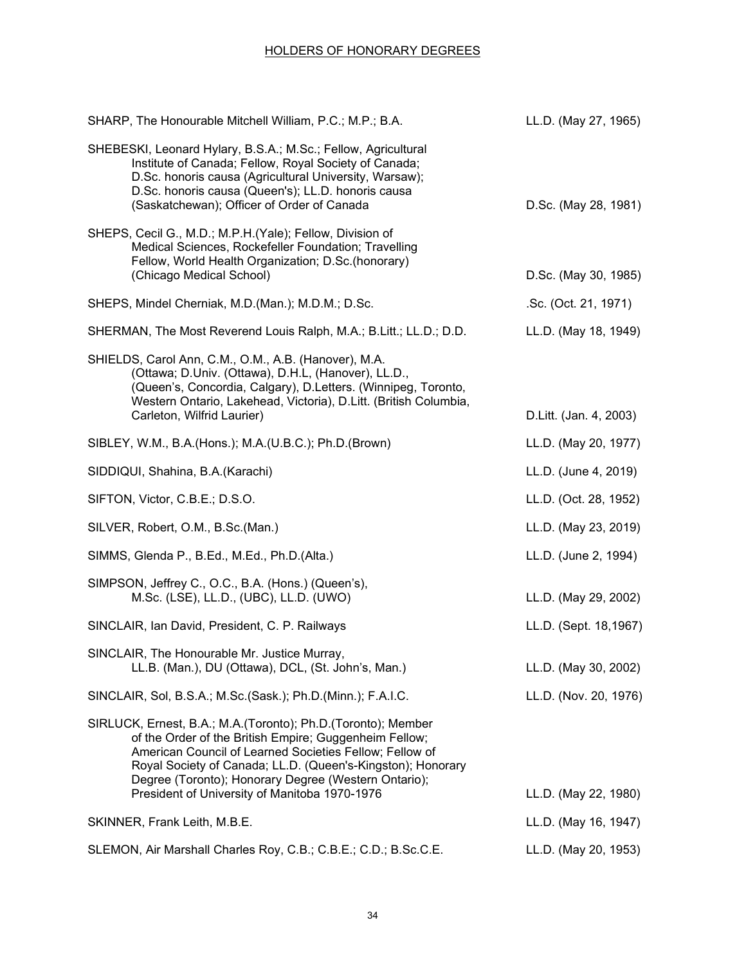| SHARP, The Honourable Mitchell William, P.C.; M.P.; B.A.                                                                                                                                                                                                                                                                                                  | LL.D. (May 27, 1965)   |
|-----------------------------------------------------------------------------------------------------------------------------------------------------------------------------------------------------------------------------------------------------------------------------------------------------------------------------------------------------------|------------------------|
| SHEBESKI, Leonard Hylary, B.S.A.; M.Sc.; Fellow, Agricultural<br>Institute of Canada; Fellow, Royal Society of Canada;<br>D.Sc. honoris causa (Agricultural University, Warsaw);<br>D.Sc. honoris causa (Queen's); LL.D. honoris causa<br>(Saskatchewan); Officer of Order of Canada                                                                      | D.Sc. (May 28, 1981)   |
| SHEPS, Cecil G., M.D.; M.P.H.(Yale); Fellow, Division of<br>Medical Sciences, Rockefeller Foundation; Travelling<br>Fellow, World Health Organization; D.Sc.(honorary)<br>(Chicago Medical School)                                                                                                                                                        | D.Sc. (May 30, 1985)   |
| SHEPS, Mindel Cherniak, M.D.(Man.); M.D.M.; D.Sc.                                                                                                                                                                                                                                                                                                         | .Sc. (Oct. 21, 1971)   |
| SHERMAN, The Most Reverend Louis Ralph, M.A.; B.Litt.; LL.D.; D.D.                                                                                                                                                                                                                                                                                        | LL.D. (May 18, 1949)   |
| SHIELDS, Carol Ann, C.M., O.M., A.B. (Hanover), M.A.<br>(Ottawa; D.Univ. (Ottawa), D.H.L, (Hanover), LL.D.,<br>(Queen's, Concordia, Calgary), D.Letters. (Winnipeg, Toronto,<br>Western Ontario, Lakehead, Victoria), D.Litt. (British Columbia,<br>Carleton, Wilfrid Laurier)                                                                            | D.Litt. (Jan. 4, 2003) |
| SIBLEY, W.M., B.A.(Hons.); M.A.(U.B.C.); Ph.D.(Brown)                                                                                                                                                                                                                                                                                                     | LL.D. (May 20, 1977)   |
| SIDDIQUI, Shahina, B.A.(Karachi)                                                                                                                                                                                                                                                                                                                          | LL.D. (June 4, 2019)   |
| SIFTON, Victor, C.B.E.; D.S.O.                                                                                                                                                                                                                                                                                                                            | LL.D. (Oct. 28, 1952)  |
| SILVER, Robert, O.M., B.Sc.(Man.)                                                                                                                                                                                                                                                                                                                         | LL.D. (May 23, 2019)   |
| SIMMS, Glenda P., B.Ed., M.Ed., Ph.D.(Alta.)                                                                                                                                                                                                                                                                                                              | LL.D. (June 2, 1994)   |
| SIMPSON, Jeffrey C., O.C., B.A. (Hons.) (Queen's),<br>M.Sc. (LSE), LL.D., (UBC), LL.D. (UWO)                                                                                                                                                                                                                                                              | LL.D. (May 29, 2002)   |
| SINCLAIR, Ian David, President, C. P. Railways                                                                                                                                                                                                                                                                                                            | LL.D. (Sept. 18,1967)  |
| SINCLAIR, The Honourable Mr. Justice Murray,<br>LL.B. (Man.), DU (Ottawa), DCL, (St. John's, Man.)                                                                                                                                                                                                                                                        | LL.D. (May 30, 2002)   |
| SINCLAIR, Sol, B.S.A.; M.Sc.(Sask.); Ph.D.(Minn.); F.A.I.C.                                                                                                                                                                                                                                                                                               | LL.D. (Nov. 20, 1976)  |
| SIRLUCK, Ernest, B.A.; M.A.(Toronto); Ph.D.(Toronto); Member<br>of the Order of the British Empire; Guggenheim Fellow;<br>American Council of Learned Societies Fellow; Fellow of<br>Royal Society of Canada; LL.D. (Queen's-Kingston); Honorary<br>Degree (Toronto); Honorary Degree (Western Ontario);<br>President of University of Manitoba 1970-1976 | LL.D. (May 22, 1980)   |
| SKINNER, Frank Leith, M.B.E.                                                                                                                                                                                                                                                                                                                              | LL.D. (May 16, 1947)   |
| SLEMON, Air Marshall Charles Roy, C.B.; C.B.E.; C.D.; B.Sc.C.E.                                                                                                                                                                                                                                                                                           | LL.D. (May 20, 1953)   |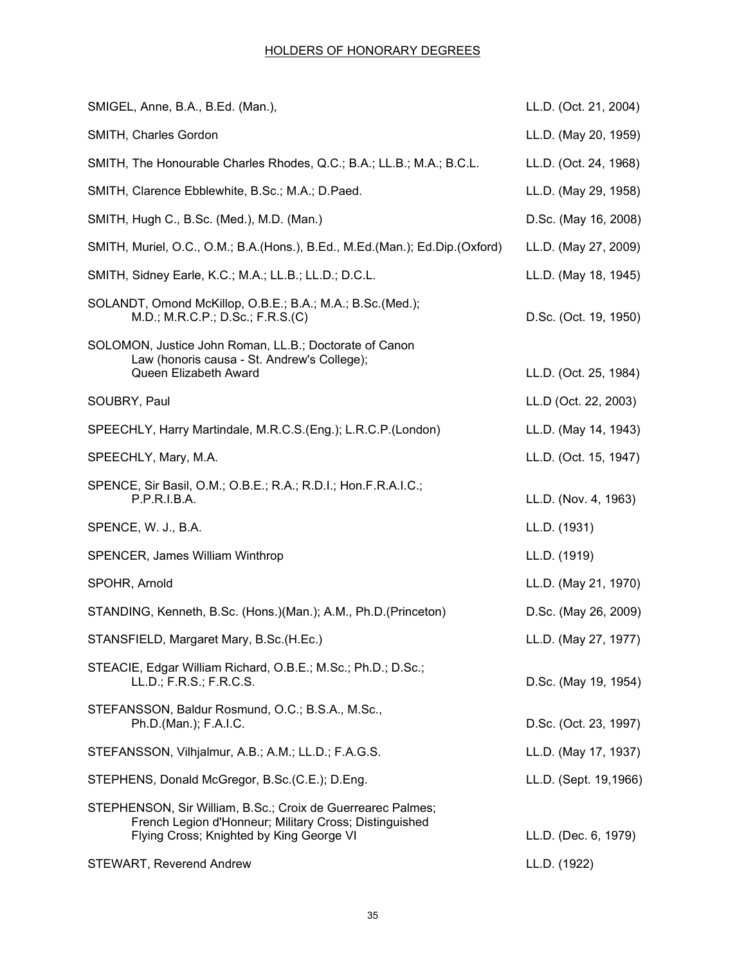| LL.D. (Oct. 21, 2004) |
|-----------------------|
| LL.D. (May 20, 1959)  |
| LL.D. (Oct. 24, 1968) |
| LL.D. (May 29, 1958)  |
| D.Sc. (May 16, 2008)  |
| LL.D. (May 27, 2009)  |
| LL.D. (May 18, 1945)  |
| D.Sc. (Oct. 19, 1950) |
| LL.D. (Oct. 25, 1984) |
| LL.D (Oct. 22, 2003)  |
| LL.D. (May 14, 1943)  |
| LL.D. (Oct. 15, 1947) |
| LL.D. (Nov. 4, 1963)  |
| LL.D. (1931)          |
| LL.D. (1919)          |
| LL.D. (May 21, 1970)  |
| D.Sc. (May 26, 2009)  |
| LL.D. (May 27, 1977)  |
| D.Sc. (May 19, 1954)  |
| D.Sc. (Oct. 23, 1997) |
| LL.D. (May 17, 1937)  |
| LL.D. (Sept. 19,1966) |
| LL.D. (Dec. 6, 1979)  |
| LL.D. (1922)          |
|                       |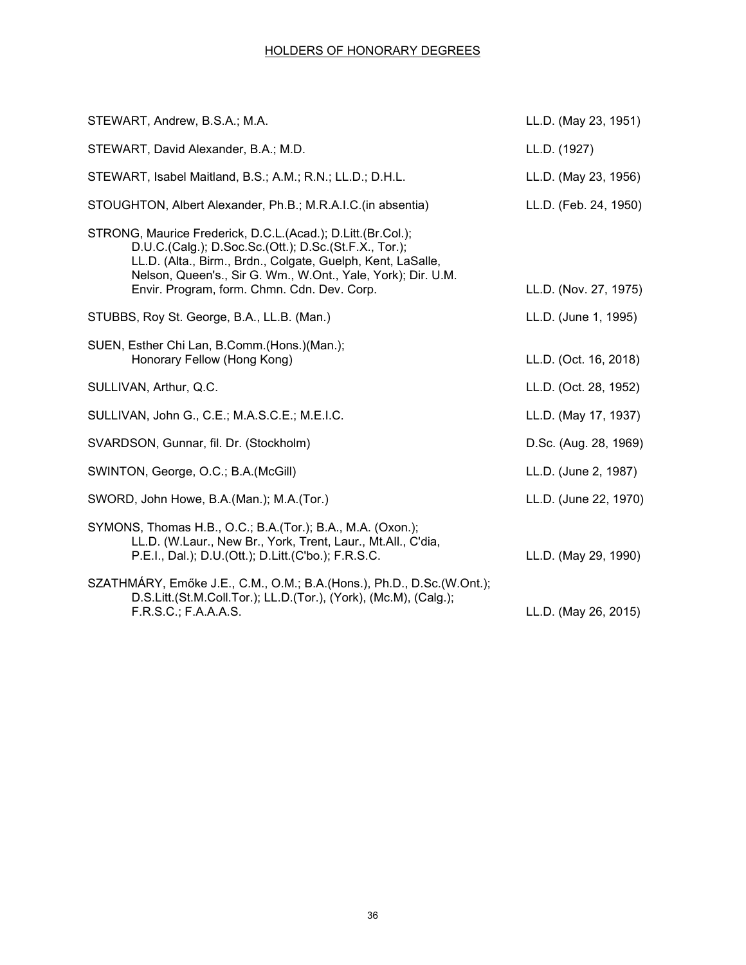| STEWART, Andrew, B.S.A.; M.A.                                                                                                                                                                                                                                                                      | LL.D. (May 23, 1951)  |
|----------------------------------------------------------------------------------------------------------------------------------------------------------------------------------------------------------------------------------------------------------------------------------------------------|-----------------------|
| STEWART, David Alexander, B.A.; M.D.                                                                                                                                                                                                                                                               | LL.D. (1927)          |
| STEWART, Isabel Maitland, B.S.; A.M.; R.N.; LL.D.; D.H.L.                                                                                                                                                                                                                                          | LL.D. (May 23, 1956)  |
| STOUGHTON, Albert Alexander, Ph.B.; M.R.A.I.C. (in absentia)                                                                                                                                                                                                                                       | LL.D. (Feb. 24, 1950) |
| STRONG, Maurice Frederick, D.C.L.(Acad.); D.Litt.(Br.Col.);<br>D.U.C.(Calg.); D.Soc.Sc.(Ott.); D.Sc.(St.F.X., Tor.);<br>LL.D. (Alta., Birm., Brdn., Colgate, Guelph, Kent, LaSalle,<br>Nelson, Queen's., Sir G. Wm., W.Ont., Yale, York); Dir. U.M.<br>Envir. Program, form. Chmn. Cdn. Dev. Corp. | LL.D. (Nov. 27, 1975) |
| STUBBS, Roy St. George, B.A., LL.B. (Man.)                                                                                                                                                                                                                                                         | LL.D. (June 1, 1995)  |
| SUEN, Esther Chi Lan, B.Comm. (Hons.) (Man.);<br>Honorary Fellow (Hong Kong)                                                                                                                                                                                                                       | LL.D. (Oct. 16, 2018) |
| SULLIVAN, Arthur, Q.C.                                                                                                                                                                                                                                                                             | LL.D. (Oct. 28, 1952) |
| SULLIVAN, John G., C.E.; M.A.S.C.E.; M.E.I.C.                                                                                                                                                                                                                                                      | LL.D. (May 17, 1937)  |
| SVARDSON, Gunnar, fil. Dr. (Stockholm)                                                                                                                                                                                                                                                             | D.Sc. (Aug. 28, 1969) |
| SWINTON, George, O.C.; B.A. (McGill)                                                                                                                                                                                                                                                               | LL.D. (June 2, 1987)  |
| SWORD, John Howe, B.A. (Man.); M.A. (Tor.)                                                                                                                                                                                                                                                         | LL.D. (June 22, 1970) |
| SYMONS, Thomas H.B., O.C.; B.A.(Tor.); B.A., M.A. (Oxon.);<br>LL.D. (W.Laur., New Br., York, Trent, Laur., Mt.All., C'dia,<br>P.E.I., Dal.); D.U.(Ott.); D.Litt.(C'bo.); F.R.S.C.                                                                                                                  | LL.D. (May 29, 1990)  |
| SZATHMÁRY, Emőke J.E., C.M., O.M.; B.A.(Hons.), Ph.D., D.Sc.(W.Ont.);<br>D.S.Litt.(St.M.Coll.Tor.); LL.D.(Tor.), (York), (Mc.M), (Calg.);<br>F.R.S.C.; F.A.A.A.S.                                                                                                                                  | LL.D. (May 26, 2015)  |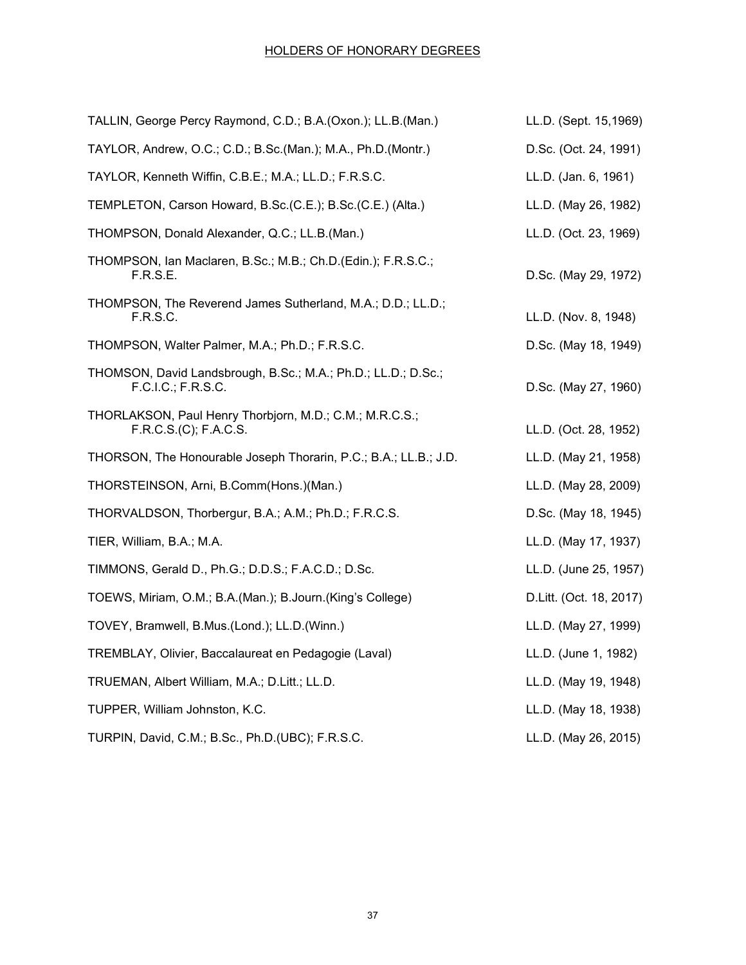| TALLIN, George Percy Raymond, C.D.; B.A. (Oxon.); LL.B. (Man.)                      | LL.D. (Sept. 15,1969)   |
|-------------------------------------------------------------------------------------|-------------------------|
| TAYLOR, Andrew, O.C.; C.D.; B.Sc.(Man.); M.A., Ph.D.(Montr.)                        | D.Sc. (Oct. 24, 1991)   |
| TAYLOR, Kenneth Wiffin, C.B.E.; M.A.; LL.D.; F.R.S.C.                               | LL.D. (Jan. 6, 1961)    |
| TEMPLETON, Carson Howard, B.Sc.(C.E.); B.Sc.(C.E.) (Alta.)                          | LL.D. (May 26, 1982)    |
| THOMPSON, Donald Alexander, Q.C.; LL.B.(Man.)                                       | LL.D. (Oct. 23, 1969)   |
| THOMPSON, Ian Maclaren, B.Sc.; M.B.; Ch.D.(Edin.); F.R.S.C.;<br>F.R.S.E.            | D.Sc. (May 29, 1972)    |
| THOMPSON, The Reverend James Sutherland, M.A.; D.D.; LL.D.;<br>F.R.S.C.             | LL.D. (Nov. 8, 1948)    |
| THOMPSON, Walter Palmer, M.A.; Ph.D.; F.R.S.C.                                      | D.Sc. (May 18, 1949)    |
| THOMSON, David Landsbrough, B.Sc.; M.A.; Ph.D.; LL.D.; D.Sc.;<br>F.C.I.C.; F.R.S.C. | D.Sc. (May 27, 1960)    |
| THORLAKSON, Paul Henry Thorbjorn, M.D.; C.M.; M.R.C.S.;<br>F.R.C.S.(C); F.A.C.S.    | LL.D. (Oct. 28, 1952)   |
| THORSON, The Honourable Joseph Thorarin, P.C.; B.A.; LL.B.; J.D.                    | LL.D. (May 21, 1958)    |
| THORSTEINSON, Arni, B.Comm(Hons.)(Man.)                                             | LL.D. (May 28, 2009)    |
| THORVALDSON, Thorbergur, B.A.; A.M.; Ph.D.; F.R.C.S.                                | D.Sc. (May 18, 1945)    |
| TIER, William, B.A.; M.A.                                                           | LL.D. (May 17, 1937)    |
| TIMMONS, Gerald D., Ph.G.; D.D.S.; F.A.C.D.; D.Sc.                                  | LL.D. (June 25, 1957)   |
| TOEWS, Miriam, O.M.; B.A.(Man.); B.Journ.(King's College)                           | D.Litt. (Oct. 18, 2017) |
| TOVEY, Bramwell, B.Mus.(Lond.); LL.D.(Winn.)                                        | LL.D. (May 27, 1999)    |
| TREMBLAY, Olivier, Baccalaureat en Pedagogie (Laval)                                | LL.D. (June 1, 1982)    |
| TRUEMAN, Albert William, M.A.; D.Litt.; LL.D.                                       | LL.D. (May 19, 1948)    |
| TUPPER, William Johnston, K.C.                                                      | LL.D. (May 18, 1938)    |
| TURPIN, David, C.M.; B.Sc., Ph.D.(UBC); F.R.S.C.                                    | LL.D. (May 26, 2015)    |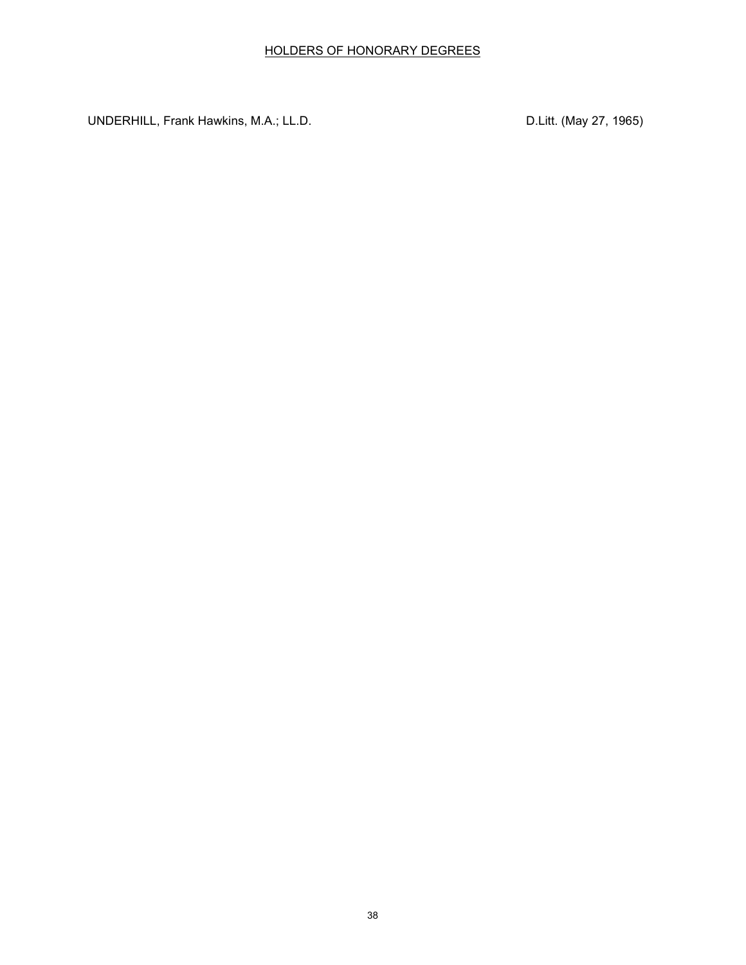UNDERHILL, Frank Hawkins, M.A.; LL.D. Compared the contract of the UNDERHILL, Frank Hawkins, M.A.; LL.D.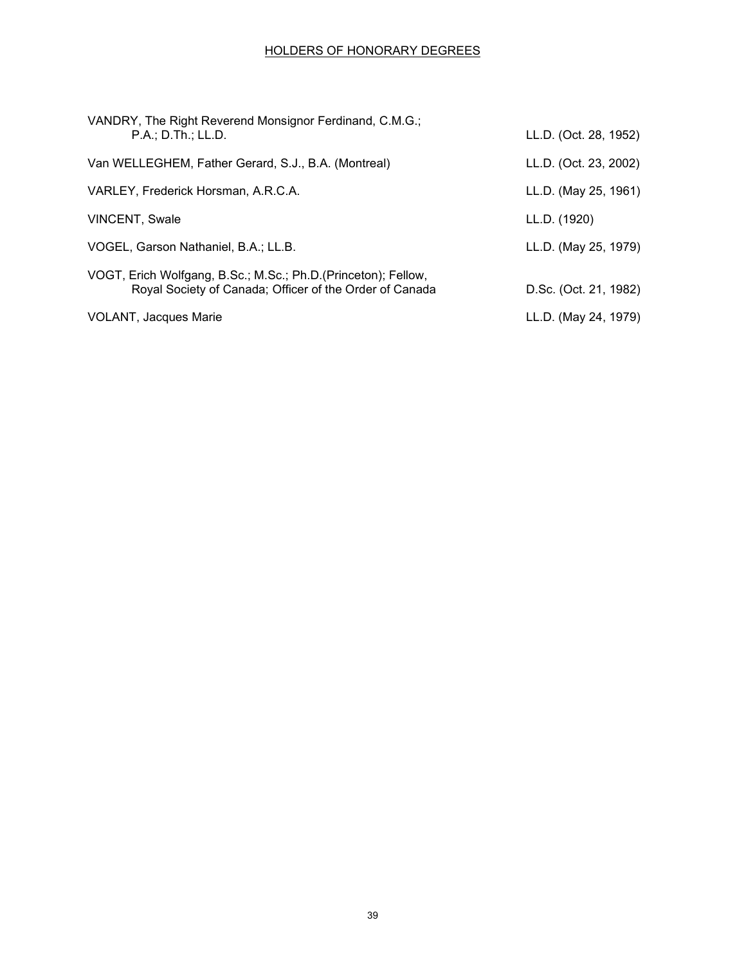| VANDRY, The Right Reverend Monsignor Ferdinand, C.M.G.;<br>P.A.; D.Th.; LL.D.                                            | LL.D. (Oct. 28, 1952) |
|--------------------------------------------------------------------------------------------------------------------------|-----------------------|
| Van WELLEGHEM, Father Gerard, S.J., B.A. (Montreal)                                                                      | LL.D. (Oct. 23, 2002) |
| VARLEY, Frederick Horsman, A.R.C.A.                                                                                      | LL.D. (May 25, 1961)  |
| <b>VINCENT, Swale</b>                                                                                                    | LL.D. (1920)          |
| VOGEL, Garson Nathaniel, B.A.; LL.B.                                                                                     | LL.D. (May 25, 1979)  |
| VOGT, Erich Wolfgang, B.Sc.; M.Sc.; Ph.D.(Princeton); Fellow,<br>Royal Society of Canada; Officer of the Order of Canada | D.Sc. (Oct. 21, 1982) |
| VOLANT, Jacques Marie                                                                                                    | LL.D. (May 24, 1979)  |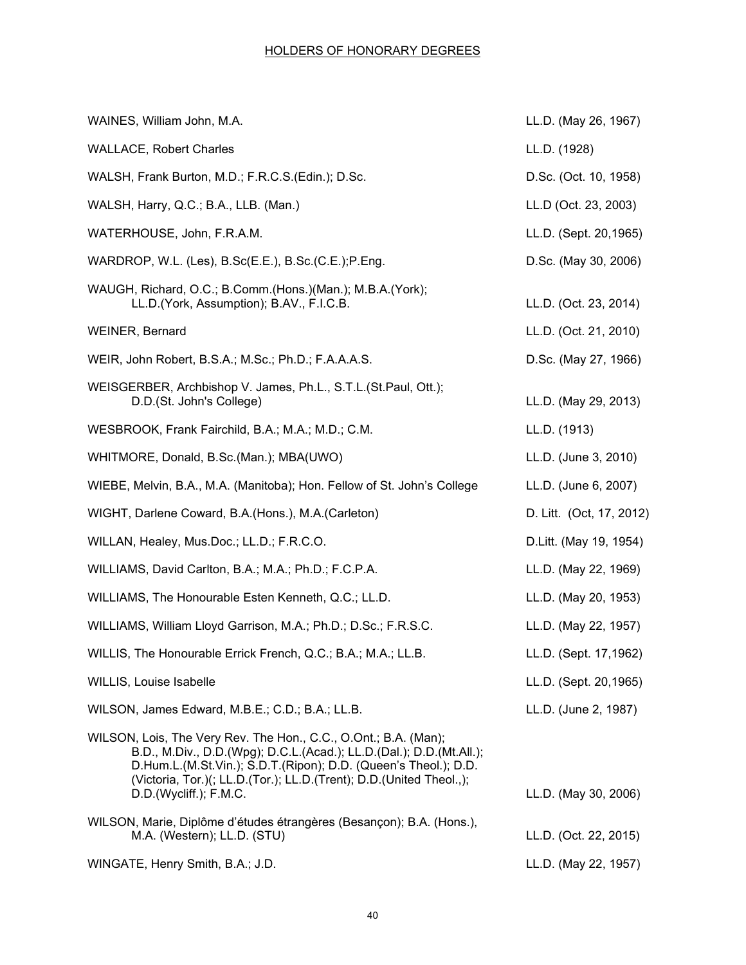| WAINES, William John, M.A.                                                                                                                                                                                                                                                                                 | LL.D. (May 26, 1967)     |
|------------------------------------------------------------------------------------------------------------------------------------------------------------------------------------------------------------------------------------------------------------------------------------------------------------|--------------------------|
| <b>WALLACE, Robert Charles</b>                                                                                                                                                                                                                                                                             | LL.D. (1928)             |
| WALSH, Frank Burton, M.D.; F.R.C.S.(Edin.); D.Sc.                                                                                                                                                                                                                                                          | D.Sc. (Oct. 10, 1958)    |
| WALSH, Harry, Q.C.; B.A., LLB. (Man.)                                                                                                                                                                                                                                                                      | LL.D (Oct. 23, 2003)     |
| WATERHOUSE, John, F.R.A.M.                                                                                                                                                                                                                                                                                 | LL.D. (Sept. 20,1965)    |
| WARDROP, W.L. (Les), B.Sc(E.E.), B.Sc.(C.E.); P.Eng.                                                                                                                                                                                                                                                       | D.Sc. (May 30, 2006)     |
| WAUGH, Richard, O.C.; B.Comm.(Hons.)(Man.); M.B.A.(York);<br>LL.D. (York, Assumption); B.AV., F.I.C.B.                                                                                                                                                                                                     | LL.D. (Oct. 23, 2014)    |
| WEINER, Bernard                                                                                                                                                                                                                                                                                            | LL.D. (Oct. 21, 2010)    |
| WEIR, John Robert, B.S.A.; M.Sc.; Ph.D.; F.A.A.A.S.                                                                                                                                                                                                                                                        | D.Sc. (May 27, 1966)     |
| WEISGERBER, Archbishop V. James, Ph.L., S.T.L. (St.Paul, Ott.);<br>D.D.(St. John's College)                                                                                                                                                                                                                | LL.D. (May 29, 2013)     |
| WESBROOK, Frank Fairchild, B.A.; M.A.; M.D.; C.M.                                                                                                                                                                                                                                                          | LL.D. (1913)             |
| WHITMORE, Donald, B.Sc.(Man.); MBA(UWO)                                                                                                                                                                                                                                                                    | LL.D. (June 3, 2010)     |
| WIEBE, Melvin, B.A., M.A. (Manitoba); Hon. Fellow of St. John's College                                                                                                                                                                                                                                    | LL.D. (June 6, 2007)     |
| WIGHT, Darlene Coward, B.A. (Hons.), M.A. (Carleton)                                                                                                                                                                                                                                                       | D. Litt. (Oct, 17, 2012) |
| WILLAN, Healey, Mus.Doc.; LL.D.; F.R.C.O.                                                                                                                                                                                                                                                                  | D.Litt. (May 19, 1954)   |
| WILLIAMS, David Carlton, B.A.; M.A.; Ph.D.; F.C.P.A.                                                                                                                                                                                                                                                       | LL.D. (May 22, 1969)     |
| WILLIAMS, The Honourable Esten Kenneth, Q.C.; LL.D.                                                                                                                                                                                                                                                        | LL.D. (May 20, 1953)     |
| WILLIAMS, William Lloyd Garrison, M.A.; Ph.D.; D.Sc.; F.R.S.C.                                                                                                                                                                                                                                             | LL.D. (May 22, 1957)     |
| WILLIS, The Honourable Errick French, Q.C.; B.A.; M.A.; LL.B.                                                                                                                                                                                                                                              | LL.D. (Sept. 17,1962)    |
| WILLIS, Louise Isabelle                                                                                                                                                                                                                                                                                    | LL.D. (Sept. 20,1965)    |
| WILSON, James Edward, M.B.E.; C.D.; B.A.; LL.B.                                                                                                                                                                                                                                                            | LL.D. (June 2, 1987)     |
| WILSON, Lois, The Very Rev. The Hon., C.C., O.Ont.; B.A. (Man);<br>B.D., M.Div., D.D.(Wpg); D.C.L.(Acad.); LL.D.(Dal.); D.D.(Mt.All.);<br>D.Hum.L.(M.St.Vin.); S.D.T.(Ripon); D.D. (Queen's Theol.); D.D.<br>(Victoria, Tor.)(; LL.D.(Tor.); LL.D.(Trent); D.D.(United Theol.,);<br>D.D.(Wycliff.); F.M.C. | LL.D. (May 30, 2006)     |
| WILSON, Marie, Diplôme d'études étrangères (Besançon); B.A. (Hons.),<br>M.A. (Western); LL.D. (STU)                                                                                                                                                                                                        | LL.D. (Oct. 22, 2015)    |
| WINGATE, Henry Smith, B.A.; J.D.                                                                                                                                                                                                                                                                           | LL.D. (May 22, 1957)     |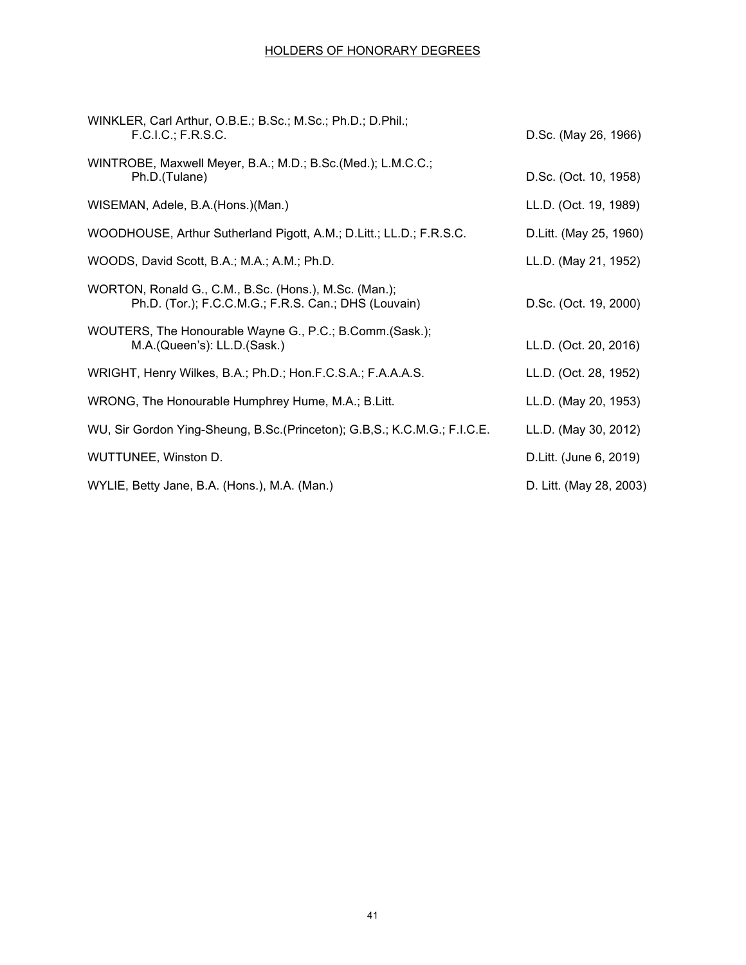| WINKLER, Carl Arthur, O.B.E.; B.Sc.; M.Sc.; Ph.D.; D.Phil.;<br>F.C.I.C.; F.R.S.C.                             | D.Sc. (May 26, 1966)    |
|---------------------------------------------------------------------------------------------------------------|-------------------------|
| WINTROBE, Maxwell Meyer, B.A.; M.D.; B.Sc.(Med.); L.M.C.C.;<br>Ph.D.(Tulane)                                  | D.Sc. (Oct. 10, 1958)   |
| WISEMAN, Adele, B.A. (Hons.) (Man.)                                                                           | LL.D. (Oct. 19, 1989)   |
| WOODHOUSE, Arthur Sutherland Pigott, A.M.; D.Litt.; LL.D.; F.R.S.C.                                           | D.Litt. (May 25, 1960)  |
| WOODS, David Scott, B.A.; M.A.; A.M.; Ph.D.                                                                   | LL.D. (May 21, 1952)    |
| WORTON, Ronald G., C.M., B.Sc. (Hons.), M.Sc. (Man.);<br>Ph.D. (Tor.); F.C.C.M.G.; F.R.S. Can.; DHS (Louvain) | D.Sc. (Oct. 19, 2000)   |
| WOUTERS, The Honourable Wayne G., P.C.; B.Comm.(Sask.);<br>M.A.(Queen's): LL.D.(Sask.)                        | LL.D. (Oct. 20, 2016)   |
| WRIGHT, Henry Wilkes, B.A.; Ph.D.; Hon.F.C.S.A.; F.A.A.A.S.                                                   | LL.D. (Oct. 28, 1952)   |
| WRONG, The Honourable Humphrey Hume, M.A.; B.Litt.                                                            | LL.D. (May 20, 1953)    |
| WU, Sir Gordon Ying-Sheung, B.Sc. (Princeton); G.B,S.; K.C.M.G.; F.I.C.E.                                     | LL.D. (May 30, 2012)    |
| WUTTUNEE, Winston D.                                                                                          | D.Litt. (June 6, 2019)  |
| WYLIE, Betty Jane, B.A. (Hons.), M.A. (Man.)                                                                  | D. Litt. (May 28, 2003) |